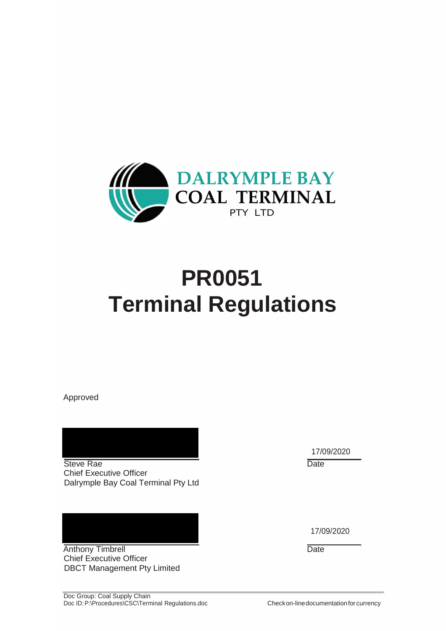

# **PR0051 Terminal Regulations**

Approved

Steve Rae Date Chief Executive Officer Dalrymple Bay Coal Terminal Pty Ltd

Anthony Timbrell Date Chief Executive Officer DBCT Management Pty Limited

17/09/2020

17/09/2020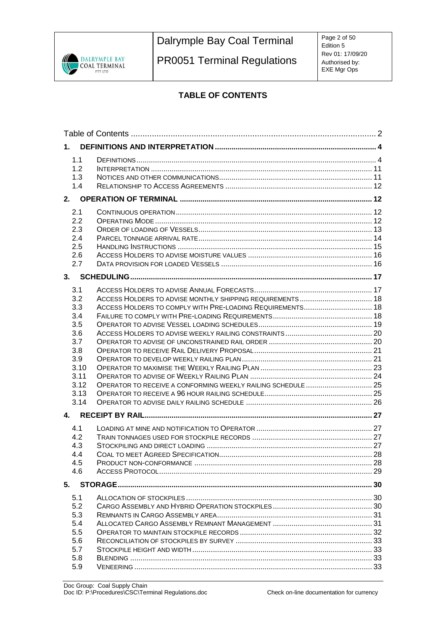

PR0051 Terminal Regulations

Page 2 of 50 Edition 5 Rev 01: 17/09/20 Authorised by: EXE Mgr Ops

# **TABLE OF CONTENTS**

| 1.           |                                                              |  |
|--------------|--------------------------------------------------------------|--|
| 1.1          |                                                              |  |
| 1.2<br>1.3   |                                                              |  |
| 1.4          |                                                              |  |
|              |                                                              |  |
|              |                                                              |  |
| 2.1          |                                                              |  |
| 2.2          |                                                              |  |
| 2.3          |                                                              |  |
| 2.4          |                                                              |  |
| 2.5<br>2.6   |                                                              |  |
| 2.7          |                                                              |  |
|              |                                                              |  |
|              |                                                              |  |
| 3.1          |                                                              |  |
| 3.2          |                                                              |  |
| 3.3          | ACCESS HOLDERS TO COMPLY WITH PRE-LOADING REQUIREMENTS 18    |  |
| 3.4          |                                                              |  |
| 3.5          |                                                              |  |
| 3.6          |                                                              |  |
| 3.7          |                                                              |  |
| 3.8          |                                                              |  |
| 3.9          |                                                              |  |
| 3.10         |                                                              |  |
| 3.11         |                                                              |  |
| 3.12         | OPERATOR TO RECEIVE A CONFORMING WEEKLY RAILING SCHEDULE  25 |  |
| 3.13<br>3.14 |                                                              |  |
|              |                                                              |  |
| 4.           |                                                              |  |
| 4.1          |                                                              |  |
| 4.2          |                                                              |  |
| 4.3          |                                                              |  |
| 4.4          |                                                              |  |
| 4.5          |                                                              |  |
| 4.6          |                                                              |  |
|              |                                                              |  |
| 5.1          |                                                              |  |
| 5.2          |                                                              |  |
| 5.3          |                                                              |  |
| 5.4          |                                                              |  |
| 5.5          |                                                              |  |
| 5.6          |                                                              |  |
| 5.7          |                                                              |  |
| 5.8          |                                                              |  |
| 5.9          |                                                              |  |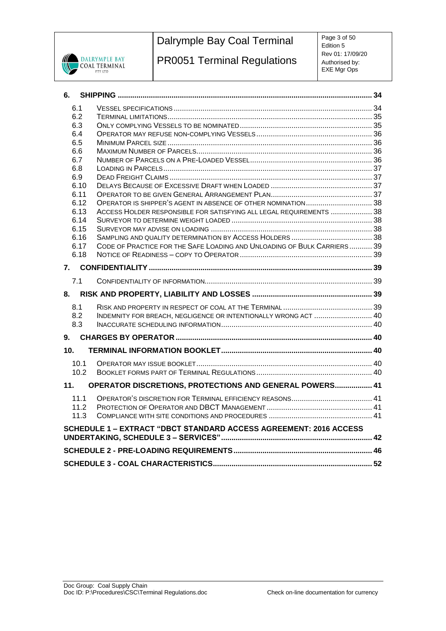

PR0051 Terminal Regulations

Page 3 of 50 Edition 5 Rev 01: 17/09/20 Authorised by: EXE Mgr Ops

| 6.           |                                                                         |  |
|--------------|-------------------------------------------------------------------------|--|
| 6.1          |                                                                         |  |
| 6.2          |                                                                         |  |
| 6.3          |                                                                         |  |
| 6.4          |                                                                         |  |
| 6.5          |                                                                         |  |
| 6.6          |                                                                         |  |
| 6.7          |                                                                         |  |
| 6.8          |                                                                         |  |
| 6.9          |                                                                         |  |
| 6.10         |                                                                         |  |
| 6.11         |                                                                         |  |
| 6.12         | ACCESS HOLDER RESPONSIBLE FOR SATISFYING ALL LEGAL REQUIREMENTS  38     |  |
| 6.13<br>6.14 |                                                                         |  |
| 6.15         |                                                                         |  |
| 6.16         |                                                                         |  |
| 6.17         | CODE OF PRACTICE FOR THE SAFE LOADING AND UNLOADING OF BULK CARRIERS 39 |  |
| 6.18         |                                                                         |  |
|              |                                                                         |  |
|              |                                                                         |  |
| 7.1          |                                                                         |  |
|              |                                                                         |  |
| 8.1          |                                                                         |  |
| 8.2          | INDEMNITY FOR BREACH, NEGLIGENCE OR INTENTIONALLY WRONG ACT  40         |  |
| 8.3          |                                                                         |  |
| 9.           |                                                                         |  |
| 10.          |                                                                         |  |
| 10.1         |                                                                         |  |
| 10.2         |                                                                         |  |
| 11.          | OPERATOR DISCRETIONS, PROTECTIONS AND GENERAL POWERS 41                 |  |
| 11.1         |                                                                         |  |
| 11.2         |                                                                         |  |
| 11.3         |                                                                         |  |
|              | SCHEDULE 1 - EXTRACT "DBCT STANDARD ACCESS AGREEMENT: 2016 ACCESS       |  |
|              |                                                                         |  |
|              |                                                                         |  |
|              |                                                                         |  |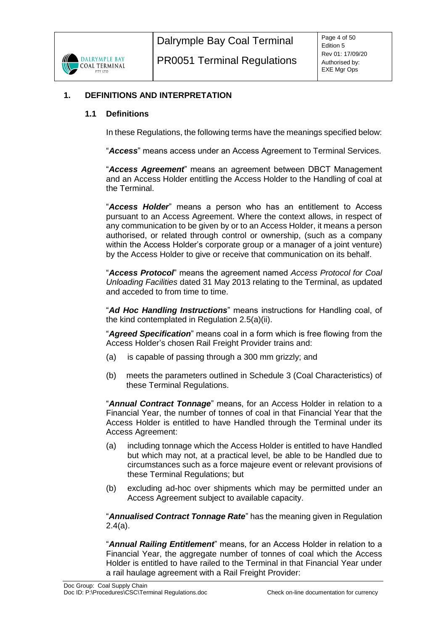

## <span id="page-3-1"></span><span id="page-3-0"></span>**1. DEFINITIONS AND INTERPRETATION**

#### **1.1 Definitions**

In these Regulations, the following terms have the meanings specified below:

"*Access*" means access under an Access Agreement to Terminal Services.

"*Access Agreement*" means an agreement between DBCT Management and an Access Holder entitling the Access Holder to the Handling of coal at the Terminal.

"*Access Holder*" means a person who has an entitlement to Access pursuant to an Access Agreement. Where the context allows, in respect of any communication to be given by or to an Access Holder, it means a person authorised, or related through control or ownership, (such as a company within the Access Holder's corporate group or a manager of a joint venture) by the Access Holder to give or receive that communication on its behalf.

"*Access Protocol*" means the agreement named *Access Protocol for Coal Unloading Facilities* dated 31 May 2013 relating to the Terminal, as updated and acceded to from time to time.

"*Ad Hoc Handling Instructions*" means instructions for Handling coal, of the kind contemplated in Regulation [2.5\(a\)\(ii\).](#page-14-1)

"*Agreed Specification*" means coal in a form which is free flowing from the Access Holder's chosen Rail Freight Provider trains and:

- (a) is capable of passing through a 300 mm grizzly; and
- (b) meets the parameters outlined in Schedule 3 (Coal Characteristics) of these Terminal Regulations.

"*Annual Contract Tonnage*" means, for an Access Holder in relation to a Financial Year, the number of tonnes of coal in that Financial Year that the Access Holder is entitled to have Handled through the Terminal under its Access Agreement:

- (a) including tonnage which the Access Holder is entitled to have Handled but which may not, at a practical level, be able to be Handled due to circumstances such as a force majeure event or relevant provisions of these Terminal Regulations; but
- (b) excluding ad-hoc over shipments which may be permitted under an Access Agreement subject to available capacity.

"*Annualised Contract Tonnage Rate*" has the meaning given in Regulation [2.4\(a\).](#page-13-1)

"*Annual Railing Entitlement*" means, for an Access Holder in relation to a Financial Year, the aggregate number of tonnes of coal which the Access Holder is entitled to have railed to the Terminal in that Financial Year under a rail haulage agreement with a Rail Freight Provider: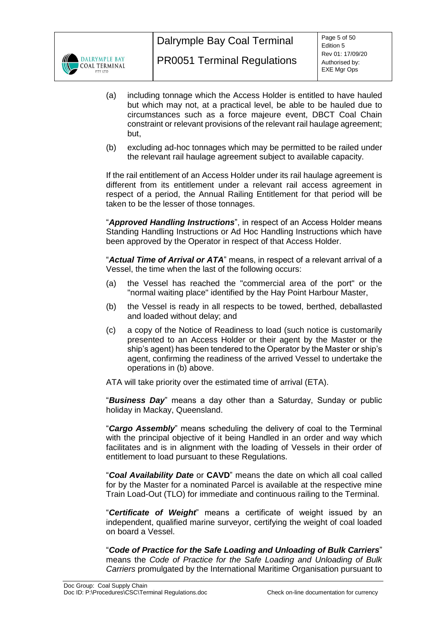

- (a) including tonnage which the Access Holder is entitled to have hauled but which may not, at a practical level, be able to be hauled due to circumstances such as a force majeure event, DBCT Coal Chain constraint or relevant provisions of the relevant rail haulage agreement; but,
- (b) excluding ad-hoc tonnages which may be permitted to be railed under the relevant rail haulage agreement subject to available capacity.

If the rail entitlement of an Access Holder under its rail haulage agreement is different from its entitlement under a relevant rail access agreement in respect of a period, the Annual Railing Entitlement for that period will be taken to be the lesser of those tonnages.

"*Approved Handling Instructions*", in respect of an Access Holder means Standing Handling Instructions or Ad Hoc Handling Instructions which have been approved by the Operator in respect of that Access Holder.

"*Actual Time of Arrival or ATA*" means, in respect of a relevant arrival of a Vessel, the time when the last of the following occurs:

- (a) the Vessel has reached the "commercial area of the port" or the "normal waiting place" identified by the Hay Point Harbour Master,
- (b) the Vessel is ready in all respects to be towed, berthed, deballasted and loaded without delay; and
- (c) a copy of the Notice of Readiness to load (such notice is customarily presented to an Access Holder or their agent by the Master or the ship's agent) has been tendered to the Operator by the Master or ship's agent, confirming the readiness of the arrived Vessel to undertake the operations in (b) above.

ATA will take priority over the estimated time of arrival (ETA).

"*Business Day*" means a day other than a Saturday, Sunday or public holiday in Mackay, Queensland.

"*Cargo Assembly*" means scheduling the delivery of coal to the Terminal with the principal objective of it being Handled in an order and way which facilitates and is in alignment with the loading of Vessels in their order of entitlement to load pursuant to these Regulations.

"*Coal Availability Date* or **CAVD**" means the date on which all coal called for by the Master for a nominated Parcel is available at the respective mine Train Load-Out (TLO) for immediate and continuous railing to the Terminal.

"*Certificate of Weight*" means a certificate of weight issued by an independent, qualified marine surveyor, certifying the weight of coal loaded on board a Vessel.

"*Code of Practice for the Safe Loading and Unloading of Bulk Carriers*" means the *Code of Practice for the Safe Loading and Unloading of Bulk Carriers* promulgated by the International Maritime Organisation pursuant to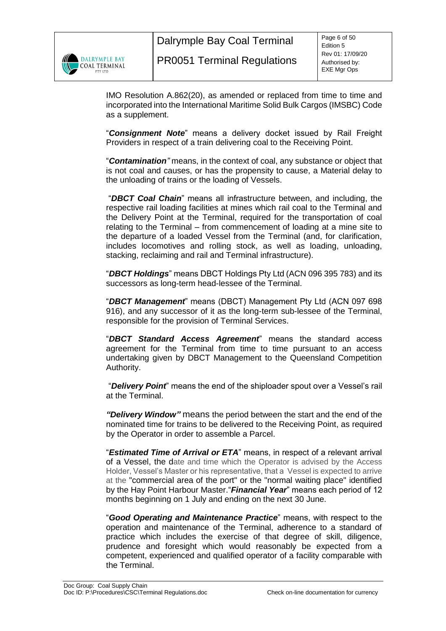

IMO Resolution A.862(20), as amended or replaced from time to time and incorporated into the International Maritime Solid Bulk Cargos (IMSBC) Code as a supplement.

"*Consignment Note*" means a delivery docket issued by Rail Freight Providers in respect of a train delivering coal to the Receiving Point.

"*Contamination"* means, in the context of coal, any substance or object that is not coal and causes, or has the propensity to cause, a Material delay to the unloading of trains or the loading of Vessels.

"*DBCT Coal Chain*" means all infrastructure between, and including, the respective rail loading facilities at mines which rail coal to the Terminal and the Delivery Point at the Terminal, required for the transportation of coal relating to the Terminal – from commencement of loading at a mine site to the departure of a loaded Vessel from the Terminal (and, for clarification, includes locomotives and rolling stock, as well as loading, unloading, stacking, reclaiming and rail and Terminal infrastructure).

"*DBCT Holdings*" means DBCT Holdings Pty Ltd (ACN 096 395 783) and its successors as long-term head-lessee of the Terminal.

"*DBCT Management*" means (DBCT) Management Pty Ltd (ACN 097 698 916), and any successor of it as the long-term sub-lessee of the Terminal, responsible for the provision of Terminal Services.

"*DBCT Standard Access Agreement*" means the standard access agreement for the Terminal from time to time pursuant to an access undertaking given by DBCT Management to the Queensland Competition Authority.

"*Delivery Point*" means the end of the shiploader spout over a Vessel's rail at the Terminal.

*"Delivery Window"* means the period between the start and the end of the nominated time for trains to be delivered to the Receiving Point, as required by the Operator in order to assemble a Parcel.

"*Estimated Time of Arrival or ETA*" means, in respect of a relevant arrival of a Vessel, the date and time which the Operator is advised by the Access Holder, Vessel's Master or his representative, that a Vessel is expected to arrive at the "commercial area of the port" or the "normal waiting place" identified by the Hay Point Harbour Master."*Financial Year*" means each period of 12 months beginning on 1 July and ending on the next 30 June.

"*Good Operating and Maintenance Practice*" means, with respect to the operation and maintenance of the Terminal, adherence to a standard of practice which includes the exercise of that degree of skill, diligence, prudence and foresight which would reasonably be expected from a competent, experienced and qualified operator of a facility comparable with the Terminal.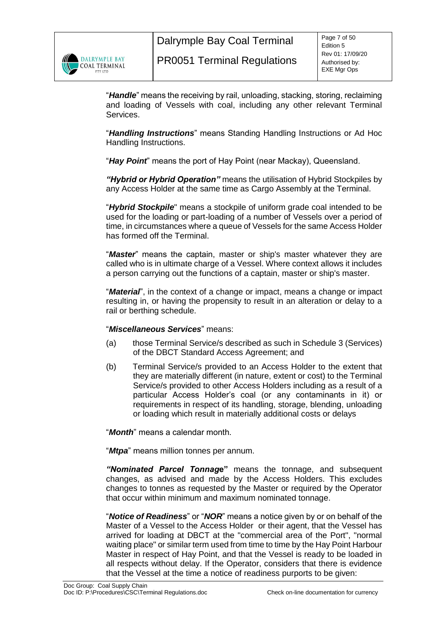

"*Handle*" means the receiving by rail, unloading, stacking, storing, reclaiming and loading of Vessels with coal, including any other relevant Terminal Services.

"*Handling Instructions*" means Standing Handling Instructions or Ad Hoc Handling Instructions.

"*Hay Point*" means the port of Hay Point (near Mackay), Queensland.

*"Hybrid or Hybrid Operation"* means the utilisation of Hybrid Stockpiles by any Access Holder at the same time as Cargo Assembly at the Terminal.

"*Hybrid Stockpile*" means a stockpile of uniform grade coal intended to be used for the loading or part-loading of a number of Vessels over a period of time, in circumstances where a queue of Vessels for the same Access Holder has formed off the Terminal.

"*Master*" means the captain, master or ship's master whatever they are called who is in ultimate charge of a Vessel. Where context allows it includes a person carrying out the functions of a captain, master or ship's master.

"*Material*", in the context of a change or impact, means a change or impact resulting in, or having the propensity to result in an alteration or delay to a rail or berthing schedule.

## "*Miscellaneous Services*" means:

- (a) those Terminal Service/s described as such in Schedule 3 (Services) of the DBCT Standard Access Agreement; and
- (b) Terminal Service/s provided to an Access Holder to the extent that they are materially different (in nature, extent or cost) to the Terminal Service/s provided to other Access Holders including as a result of a particular Access Holder's coal (or any contaminants in it) or requirements in respect of its handling, storage, blending, unloading or loading which result in materially additional costs or delays

"*Month*" means a calendar month.

"*Mtpa*" means million tonnes per annum.

*"Nominated Parcel Tonnag***e"** means the tonnage, and subsequent changes, as advised and made by the Access Holders. This excludes changes to tonnes as requested by the Master or required by the Operator that occur within minimum and maximum nominated tonnage.

"*Notice of Readiness*" or "*NOR*" means a notice given by or on behalf of the Master of a Vessel to the Access Holder or their agent, that the Vessel has arrived for loading at DBCT at the "commercial area of the Port", "normal waiting place" or similar term used from time to time by the Hay Point Harbour Master in respect of Hay Point, and that the Vessel is ready to be loaded in all respects without delay. If the Operator, considers that there is evidence that the Vessel at the time a notice of readiness purports to be given: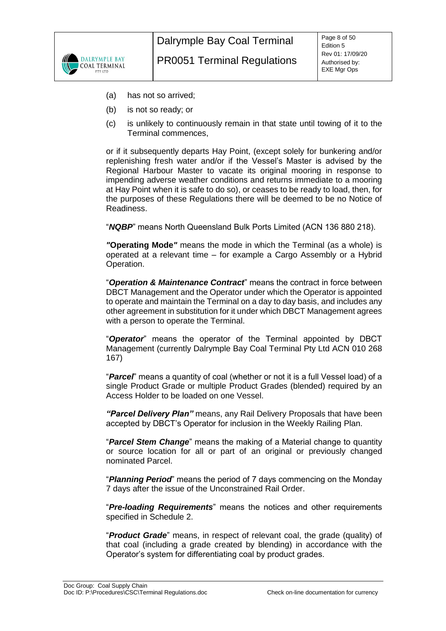

- (a) has not so arrived;
- (b) is not so ready; or
- (c) is unlikely to continuously remain in that state until towing of it to the Terminal commences,

or if it subsequently departs Hay Point, (except solely for bunkering and/or replenishing fresh water and/or if the Vessel's Master is advised by the Regional Harbour Master to vacate its original mooring in response to impending adverse weather conditions and returns immediate to a mooring at Hay Point when it is safe to do so), or ceases to be ready to load, then, for the purposes of these Regulations there will be deemed to be no Notice of Readiness.

"*NQBP*" means North Queensland Bulk Ports Limited (ACN 136 880 218).

*"***Operating Mode***"* means the mode in which the Terminal (as a whole) is operated at a relevant time – for example a Cargo Assembly or a Hybrid Operation.

"*Operation & Maintenance Contract*" means the contract in force between DBCT Management and the Operator under which the Operator is appointed to operate and maintain the Terminal on a day to day basis, and includes any other agreement in substitution for it under which DBCT Management agrees with a person to operate the Terminal.

"*Operator*" means the operator of the Terminal appointed by DBCT Management (currently Dalrymple Bay Coal Terminal Pty Ltd ACN 010 268 167)

"*Parcel*" means a quantity of coal (whether or not it is a full Vessel load) of a single Product Grade or multiple Product Grades (blended) required by an Access Holder to be loaded on one Vessel.

*"Parcel Delivery Plan"* means, any Rail Delivery Proposals that have been accepted by DBCT's Operator for inclusion in the Weekly Railing Plan.

"*Parcel Stem Change*" means the making of a Material change to quantity or source location for all or part of an original or previously changed nominated Parcel.

"*Planning Period*" means the period of 7 days commencing on the Monday 7 days after the issue of the Unconstrained Rail Order.

"*Pre-loading Requirements*" means the notices and other requirements specified in Schedule 2.

"*Product Grade*" means, in respect of relevant coal, the grade (quality) of that coal (including a grade created by blending) in accordance with the Operator's system for differentiating coal by product grades.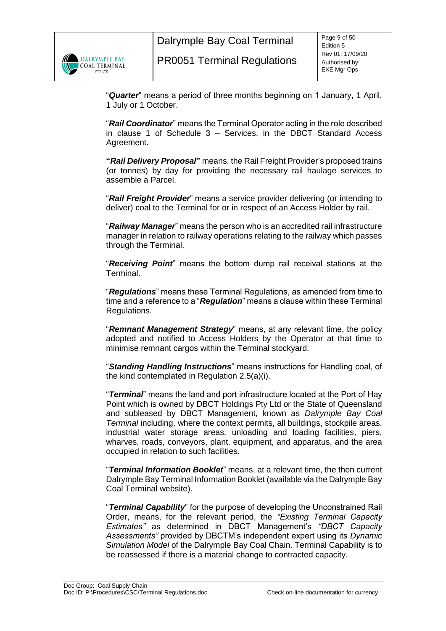

"*Quarter*" means a period of three months beginning on 1 January, 1 April, 1 July or 1 October.

"*Rail Coordinator*" means the Terminal Operator acting in the role described in clause 1 of Schedule 3 – Services, in the DBCT Standard Access Agreement.

**"***Rail Delivery Proposal***"** means, the Rail Freight Provider's proposed trains (or tonnes) by day for providing the necessary rail haulage services to assemble a Parcel.

"*Rail Freight Provider*" means a service provider delivering (or intending to deliver) coal to the Terminal for or in respect of an Access Holder by rail.

"*Railway Manager*" means the person who is an accredited rail infrastructure manager in relation to railway operations relating to the railway which passes through the Terminal.

"*Receiving Point*" means the bottom dump rail receival stations at the Terminal.

"*Regulations*" means these Terminal Regulations, as amended from time to time and a reference to a "*Regulation*" means a clause within these Terminal Regulations.

"*Remnant Management Strategy*" means, at any relevant time, the policy adopted and notified to Access Holders by the Operator at that time to minimise remnant cargos within the Terminal stockyard.

"*Standing Handling Instructions*" means instructions for Handling coal, of the kind contemplated in Regulation [2.5\(a\)\(i\).](#page-14-2)

"*Terminal*" means the land and port infrastructure located at the Port of Hay Point which is owned by DBCT Holdings Pty Ltd or the State of Queensland and subleased by DBCT Management, known as *Dalrymple Bay Coal Terminal* including, where the context permits, all buildings, stockpile areas, industrial water storage areas, unloading and loading facilities, piers, wharves, roads, conveyors, plant, equipment, and apparatus, and the area occupied in relation to such facilities.

"*Terminal Information Booklet*" means, at a relevant time, the then current Dalrymple Bay Terminal Information Booklet (available via the Dalrymple Bay Coal Terminal website).

"*Terminal Capability*" for the purpose of developing the Unconstrained Rail Order, means, for the relevant period, the *"Existing Terminal Capacity Estimates"* as determined in DBCT Management's *"DBCT Capacity Assessments"* provided by DBCTM's independent expert using its *Dynamic Simulation Model* of the Dalrymple Bay Coal Chain. Terminal Capability is to be reassessed if there is a material change to contracted capacity.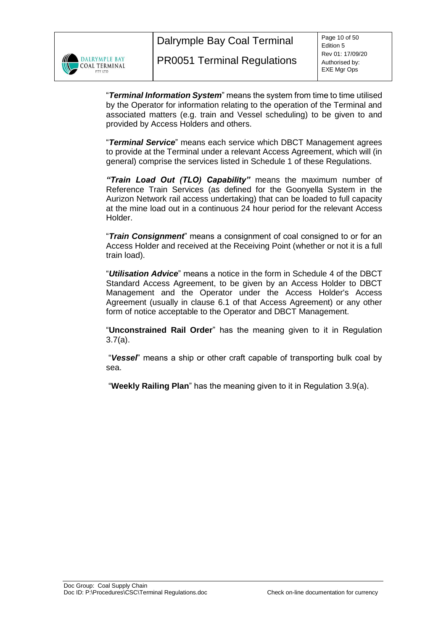

"*Terminal Information System*" means the system from time to time utilised by the Operator for information relating to the operation of the Terminal and associated matters (e.g. train and Vessel scheduling) to be given to and provided by Access Holders and others.

"*Terminal Service*" means each service which DBCT Management agrees to provide at the Terminal under a relevant Access Agreement, which will (in general) comprise the services listed in Schedule 1 of these Regulations.

*"Train Load Out (TLO) Capability"* means the maximum number of Reference Train Services (as defined for the Goonyella System in the Aurizon Network rail access undertaking) that can be loaded to full capacity at the mine load out in a continuous 24 hour period for the relevant Access Holder.

"*Train Consignment*" means a consignment of coal consigned to or for an Access Holder and received at the Receiving Point (whether or not it is a full train load).

"*Utilisation Advice*" means a notice in the form in Schedule 4 of the DBCT Standard Access Agreement, to be given by an Access Holder to DBCT Management and the Operator under the Access Holder's Access Agreement (usually in clause 6.1 of that Access Agreement) or any other form of notice acceptable to the Operator and DBCT Management.

"**Unconstrained Rail Order**" has the meaning given to it in Regulation [3.7\(a\).](#page-19-2)

"*Vessel*" means a ship or other craft capable of transporting bulk coal by sea.

"**Weekly Railing Plan**" has the meaning given to it in Regulation [3.9\(a\).](#page-20-2)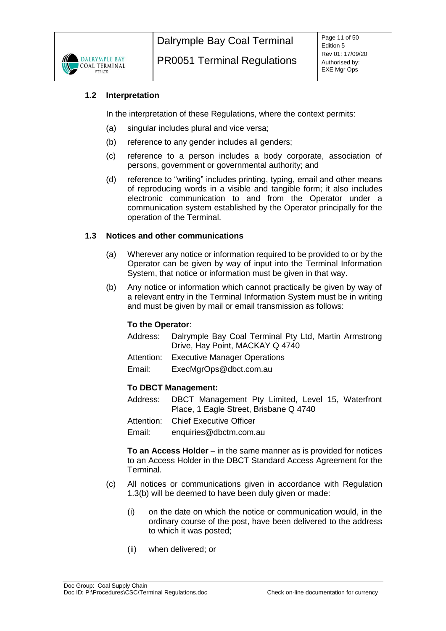

## <span id="page-10-0"></span>**1.2 Interpretation**

In the interpretation of these Regulations, where the context permits:

- (a) singular includes plural and vice versa;
- (b) reference to any gender includes all genders;
- (c) reference to a person includes a body corporate, association of persons, government or governmental authority; and
- (d) reference to "writing" includes printing, typing, email and other means of reproducing words in a visible and tangible form; it also includes electronic communication to and from the Operator under a communication system established by the Operator principally for the operation of the Terminal.

## <span id="page-10-1"></span>**1.3 Notices and other communications**

- (a) Wherever any notice or information required to be provided to or by the Operator can be given by way of input into the Terminal Information System, that notice or information must be given in that way.
- <span id="page-10-2"></span>(b) Any notice or information which cannot practically be given by way of a relevant entry in the Terminal Information System must be in writing and must be given by mail or email transmission as follows:

## **To the Operator**:

- Address: Dalrymple Bay Coal Terminal Pty Ltd, Martin Armstrong Drive, Hay Point, MACKAY Q 4740
- Attention: Executive Manager Operations
- Email: ExecMgrOps@dbct.com.au

## **To DBCT Management:**

- Address: DBCT Management Pty Limited, Level 15, Waterfront Place, 1 Eagle Street, Brisbane Q 4740
- Attention: Chief Executive Officer

Email: [enquiries@dbctm.com.au](mailto:enquiries@dbctm.com.au)

**To an Access Holder** – in the same manner as is provided for notices to an Access Holder in the DBCT Standard Access Agreement for the Terminal.

- (c) All notices or communications given in accordance with Regulation [1.3](#page-10-1)[\(b\)](#page-10-2) will be deemed to have been duly given or made:
	- (i) on the date on which the notice or communication would, in the ordinary course of the post, have been delivered to the address to which it was posted;
	- (ii) when delivered; or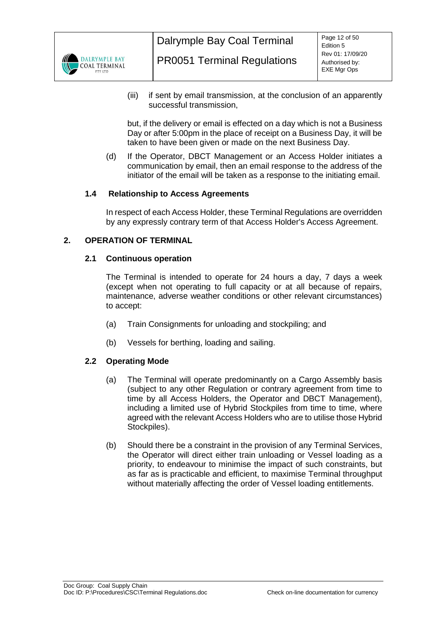

(iii) if sent by email transmission, at the conclusion of an apparently successful transmission,

but, if the delivery or email is effected on a day which is not a Business Day or after 5:00pm in the place of receipt on a Business Day, it will be taken to have been given or made on the next Business Day.

(d) If the Operator, DBCT Management or an Access Holder initiates a communication by email, then an email response to the address of the initiator of the email will be taken as a response to the initiating email.

## <span id="page-11-0"></span>**1.4 Relationship to Access Agreements**

In respect of each Access Holder, these Terminal Regulations are overridden by any expressly contrary term of that Access Holder's Access Agreement.

## <span id="page-11-2"></span><span id="page-11-1"></span>**2. OPERATION OF TERMINAL**

## **2.1 Continuous operation**

The Terminal is intended to operate for 24 hours a day, 7 days a week (except when not operating to full capacity or at all because of repairs, maintenance, adverse weather conditions or other relevant circumstances) to accept:

- (a) Train Consignments for unloading and stockpiling; and
- (b) Vessels for berthing, loading and sailing.

# <span id="page-11-3"></span>**2.2 Operating Mode**

- (a) The Terminal will operate predominantly on a Cargo Assembly basis (subject to any other Regulation or contrary agreement from time to time by all Access Holders, the Operator and DBCT Management), including a limited use of Hybrid Stockpiles from time to time, where agreed with the relevant Access Holders who are to utilise those Hybrid Stockpiles).
- (b) Should there be a constraint in the provision of any Terminal Services, the Operator will direct either train unloading or Vessel loading as a priority, to endeavour to minimise the impact of such constraints, but as far as is practicable and efficient, to maximise Terminal throughput without materially affecting the order of Vessel loading entitlements.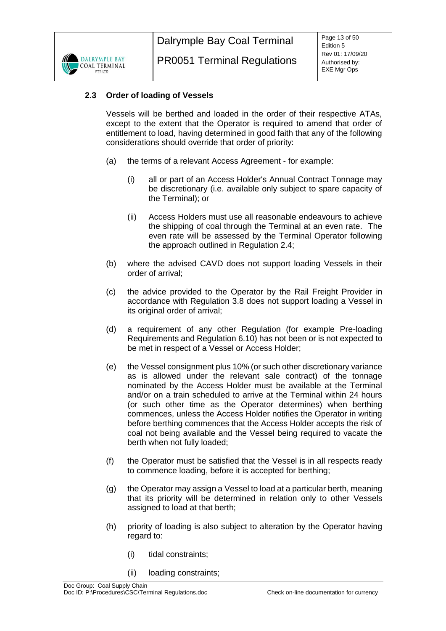

# <span id="page-12-0"></span>**2.3 Order of loading of Vessels**

Vessels will be berthed and loaded in the order of their respective ATAs, except to the extent that the Operator is required to amend that order of entitlement to load, having determined in good faith that any of the following considerations should override that order of priority:

- (a) the terms of a relevant Access Agreement for example:
	- (i) all or part of an Access Holder's Annual Contract Tonnage may be discretionary (i.e. available only subject to spare capacity of the Terminal); or
	- (ii) Access Holders must use all reasonable endeavours to achieve the shipping of coal through the Terminal at an even rate. The even rate will be assessed by the Terminal Operator following the approach outlined in Regulation [2.4;](#page-13-0)
- (b) where the advised CAVD does not support loading Vessels in their order of arrival;
- (c) the advice provided to the Operator by the Rail Freight Provider in accordance with Regulation [3.8](#page-20-0) does not support loading a Vessel in its original order of arrival;
- (d) a requirement of any other Regulation (for example Pre-loading Requirements and Regulation [6.10\)](#page-36-2) has not been or is not expected to be met in respect of a Vessel or Access Holder;
- (e) the Vessel consignment plus 10% (or such other discretionary variance as is allowed under the relevant sale contract) of the tonnage nominated by the Access Holder must be available at the Terminal and/or on a train scheduled to arrive at the Terminal within 24 hours (or such other time as the Operator determines) when berthing commences, unless the Access Holder notifies the Operator in writing before berthing commences that the Access Holder accepts the risk of coal not being available and the Vessel being required to vacate the berth when not fully loaded;
- (f) the Operator must be satisfied that the Vessel is in all respects ready to commence loading, before it is accepted for berthing;
- (g) the Operator may assign a Vessel to load at a particular berth, meaning that its priority will be determined in relation only to other Vessels assigned to load at that berth;
- (h) priority of loading is also subject to alteration by the Operator having regard to:
	- (i) tidal constraints;
	- (ii) loading constraints;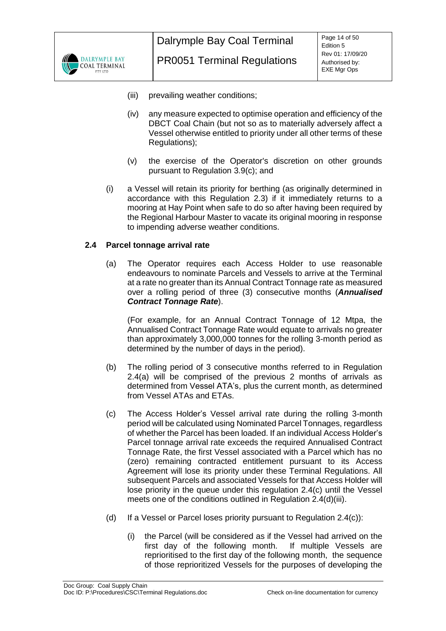

- (iii) prevailing weather conditions;
- (iv) any measure expected to optimise operation and efficiency of the DBCT Coal Chain (but not so as to materially adversely affect a Vessel otherwise entitled to priority under all other terms of these Regulations);
- (v) the exercise of the Operator's discretion on other grounds pursuant to Regulation [3.9\(c\);](#page-21-0) and
- (i) a Vessel will retain its priority for berthing (as originally determined in accordance with this Regulation [2.3\)](#page-12-0) if it immediately returns to a mooring at Hay Point when safe to do so after having been required by the Regional Harbour Master to vacate its original mooring in response to impending adverse weather conditions.

#### <span id="page-13-1"></span><span id="page-13-0"></span>**2.4 Parcel tonnage arrival rate**

(a) The Operator requires each Access Holder to use reasonable endeavours to nominate Parcels and Vessels to arrive at the Terminal at a rate no greater than its Annual Contract Tonnage rate as measured over a rolling period of three (3) consecutive months (*Annualised Contract Tonnage Rate*).

(For example, for an Annual Contract Tonnage of 12 Mtpa, the Annualised Contract Tonnage Rate would equate to arrivals no greater than approximately 3,000,000 tonnes for the rolling 3-month period as determined by the number of days in the period).

- <span id="page-13-3"></span>(b) The rolling period of 3 consecutive months referred to in Regulation [2.4\(a\)](#page-13-1) will be comprised of the previous 2 months of arrivals as determined from Vessel ATA's, plus the current month, as determined from Vessel ATAs and ETAs.
- <span id="page-13-2"></span>(c) The Access Holder's Vessel arrival rate during the rolling 3-month period will be calculated using Nominated Parcel Tonnages, regardless of whether the Parcel has been loaded. If an individual Access Holder's Parcel tonnage arrival rate exceeds the required Annualised Contract Tonnage Rate, the first Vessel associated with a Parcel which has no (zero) remaining contracted entitlement pursuant to its Access Agreement will lose its priority under these Terminal Regulations. All subsequent Parcels and associated Vessels for that Access Holder will lose priority in the queue under this regulation [2.4\(c\)](#page-13-2) until the Vessel meets one of the conditions outlined in Regulation [2.4\(d\)\(iii\).](#page-14-3)
- (d) If a Vessel or Parcel loses priority pursuant to Regulation [2.4\(c\)\)](#page-13-2):
	- (i) the Parcel (will be considered as if the Vessel had arrived on the first day of the following month. If multiple Vessels are reprioritised to the first day of the following month, the sequence of those reprioritized Vessels for the purposes of developing the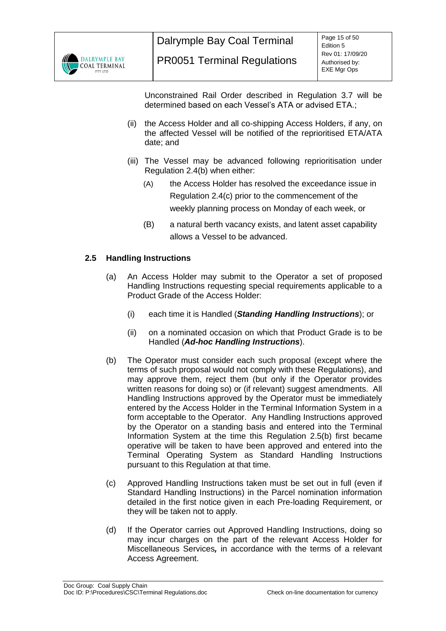

Unconstrained Rail Order described in Regulation [3.7](#page-19-1) will be determined based on each Vessel's ATA or advised ETA.;

- (ii) the Access Holder and all co-shipping Access Holders, if any, on the affected Vessel will be notified of the reprioritised ETA/ATA date; and
- <span id="page-14-3"></span>(iii) The Vessel may be advanced following reprioritisation under Regulation [2.4\(b\)](#page-13-3) when either:
	- (A) the Access Holder has resolved the exceedance issue in Regulation [2.4\(c\)](#page-13-2) prior to the commencement of the weekly planning process on Monday of each week, or
	- (B) a natural berth vacancy exists, and latent asset capability allows a Vessel to be advanced.

## <span id="page-14-0"></span>**2.5 Handling Instructions**

- <span id="page-14-2"></span>(a) An Access Holder may submit to the Operator a set of proposed Handling Instructions requesting special requirements applicable to a Product Grade of the Access Holder:
	- (i) each time it is Handled (*Standing Handling Instructions*); or
	- (ii) on a nominated occasion on which that Product Grade is to be Handled (*Ad-hoc Handling Instructions*).
- <span id="page-14-4"></span><span id="page-14-1"></span>(b) The Operator must consider each such proposal (except where the terms of such proposal would not comply with these Regulations), and may approve them, reject them (but only if the Operator provides written reasons for doing so) or (if relevant) suggest amendments. All Handling Instructions approved by the Operator must be immediately entered by the Access Holder in the Terminal Information System in a form acceptable to the Operator. Any Handling Instructions approved by the Operator on a standing basis and entered into the Terminal Information System at the time this Regulation [2.5\(b\)](#page-14-4) first became operative will be taken to have been approved and entered into the Terminal Operating System as Standard Handling Instructions pursuant to this Regulation at that time.
- (c) Approved Handling Instructions taken must be set out in full (even if Standard Handling Instructions) in the Parcel nomination information detailed in the first notice given in each Pre-loading Requirement, or they will be taken not to apply.
- (d) If the Operator carries out Approved Handling Instructions, doing so may incur charges on the part of the relevant Access Holder for Miscellaneous Services*,* in accordance with the terms of a relevant Access Agreement.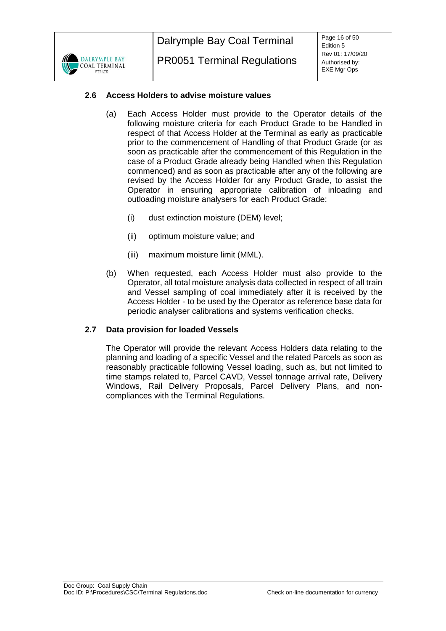

## <span id="page-15-0"></span>**2.6 Access Holders to advise moisture values**

- (a) Each Access Holder must provide to the Operator details of the following moisture criteria for each Product Grade to be Handled in respect of that Access Holder at the Terminal as early as practicable prior to the commencement of Handling of that Product Grade (or as soon as practicable after the commencement of this Regulation in the case of a Product Grade already being Handled when this Regulation commenced) and as soon as practicable after any of the following are revised by the Access Holder for any Product Grade, to assist the Operator in ensuring appropriate calibration of inloading and outloading moisture analysers for each Product Grade:
	- (i) dust extinction moisture (DEM) level;
	- (ii) optimum moisture value; and
	- (iii) maximum moisture limit (MML).
- (b) When requested, each Access Holder must also provide to the Operator, all total moisture analysis data collected in respect of all train and Vessel sampling of coal immediately after it is received by the Access Holder - to be used by the Operator as reference base data for periodic analyser calibrations and systems verification checks.

# <span id="page-15-1"></span>**2.7 Data provision for loaded Vessels**

The Operator will provide the relevant Access Holders data relating to the planning and loading of a specific Vessel and the related Parcels as soon as reasonably practicable following Vessel loading, such as, but not limited to time stamps related to, Parcel CAVD, Vessel tonnage arrival rate, Delivery Windows, Rail Delivery Proposals, Parcel Delivery Plans, and noncompliances with the Terminal Regulations.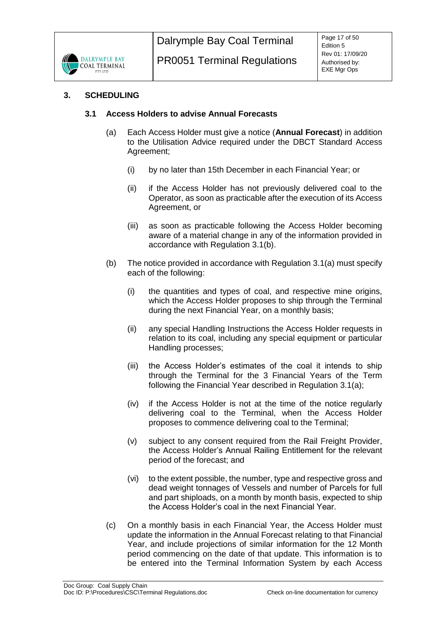

## <span id="page-16-1"></span><span id="page-16-0"></span>**3. SCHEDULING**

## <span id="page-16-3"></span>**3.1 Access Holders to advise Annual Forecasts**

- (a) Each Access Holder must give a notice (**Annual Forecast**) in addition to the Utilisation Advice required under the DBCT Standard Access Agreement;
	- (i) by no later than 15th December in each Financial Year; or
	- (ii) if the Access Holder has not previously delivered coal to the Operator, as soon as practicable after the execution of its Access Agreement, or
	- (iii) as soon as practicable following the Access Holder becoming aware of a material change in any of the information provided in accordance with Regulation [3.1\(b\).](#page-16-2)
- <span id="page-16-2"></span>(b) The notice provided in accordance with Regulation [3.1\(a\)](#page-16-3) must specify each of the following:
	- (i) the quantities and types of coal, and respective mine origins, which the Access Holder proposes to ship through the Terminal during the next Financial Year, on a monthly basis;
	- (ii) any special Handling Instructions the Access Holder requests in relation to its coal, including any special equipment or particular Handling processes;
	- (iii) the Access Holder's estimates of the coal it intends to ship through the Terminal for the 3 Financial Years of the Term following the Financial Year described in Regulation [3.1\(a\);](#page-16-3)
	- (iv) if the Access Holder is not at the time of the notice regularly delivering coal to the Terminal, when the Access Holder proposes to commence delivering coal to the Terminal;
	- (v) subject to any consent required from the Rail Freight Provider, the Access Holder's Annual Railing Entitlement for the relevant period of the forecast; and
	- (vi) to the extent possible, the number, type and respective gross and dead weight tonnages of Vessels and number of Parcels for full and part shiploads, on a month by month basis, expected to ship the Access Holder's coal in the next Financial Year.
- (c) On a monthly basis in each Financial Year, the Access Holder must update the information in the Annual Forecast relating to that Financial Year, and include projections of similar information for the 12 Month period commencing on the date of that update. This information is to be entered into the Terminal Information System by each Access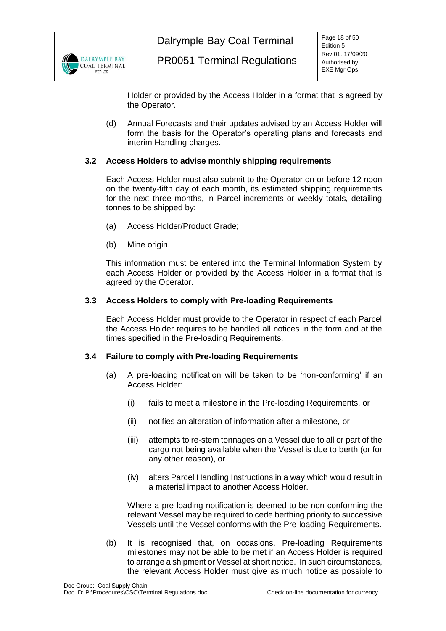

Holder or provided by the Access Holder in a format that is agreed by the Operator.

(d) Annual Forecasts and their updates advised by an Access Holder will form the basis for the Operator's operating plans and forecasts and interim Handling charges.

## <span id="page-17-0"></span>**3.2 Access Holders to advise monthly shipping requirements**

Each Access Holder must also submit to the Operator on or before 12 noon on the twenty-fifth day of each month, its estimated shipping requirements for the next three months, in Parcel increments or weekly totals, detailing tonnes to be shipped by:

- (a) Access Holder/Product Grade;
- (b) Mine origin.

This information must be entered into the Terminal Information System by each Access Holder or provided by the Access Holder in a format that is agreed by the Operator.

## <span id="page-17-1"></span>**3.3 Access Holders to comply with Pre-loading Requirements**

Each Access Holder must provide to the Operator in respect of each Parcel the Access Holder requires to be handled all notices in the form and at the times specified in the Pre-loading Requirements.

## <span id="page-17-2"></span>**3.4 Failure to comply with Pre-loading Requirements**

- (a) A pre-loading notification will be taken to be 'non-conforming' if an Access Holder:
	- (i) fails to meet a milestone in the Pre-loading Requirements, or
	- (ii) notifies an alteration of information after a milestone, or
	- (iii) attempts to re-stem tonnages on a Vessel due to all or part of the cargo not being available when the Vessel is due to berth (or for any other reason), or
	- (iv) alters Parcel Handling Instructions in a way which would result in a material impact to another Access Holder.

Where a pre-loading notification is deemed to be non-conforming the relevant Vessel may be required to cede berthing priority to successive Vessels until the Vessel conforms with the Pre-loading Requirements.

(b) It is recognised that, on occasions, Pre-loading Requirements milestones may not be able to be met if an Access Holder is required to arrange a shipment or Vessel at short notice. In such circumstances, the relevant Access Holder must give as much notice as possible to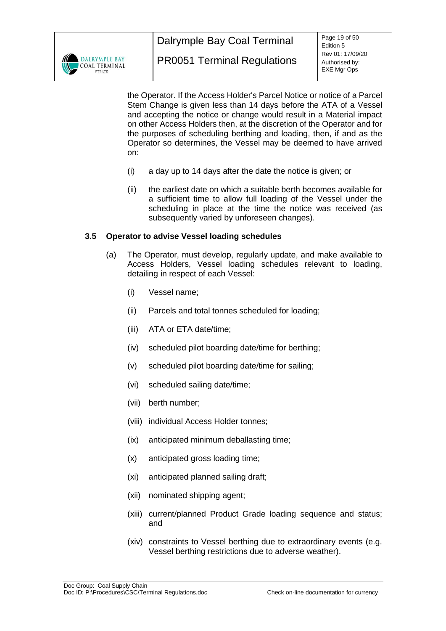

the Operator. If the Access Holder's Parcel Notice or notice of a Parcel Stem Change is given less than 14 days before the ATA of a Vessel and accepting the notice or change would result in a Material impact on other Access Holders then, at the discretion of the Operator and for the purposes of scheduling berthing and loading, then, if and as the Operator so determines, the Vessel may be deemed to have arrived on:

- (i) a day up to 14 days after the date the notice is given; or
- (ii) the earliest date on which a suitable berth becomes available for a sufficient time to allow full loading of the Vessel under the scheduling in place at the time the notice was received (as subsequently varied by unforeseen changes).

## <span id="page-18-0"></span>**3.5 Operator to advise Vessel loading schedules**

- (a) The Operator, must develop, regularly update, and make available to Access Holders, Vessel loading schedules relevant to loading, detailing in respect of each Vessel:
	- (i) Vessel name;
	- (ii) Parcels and total tonnes scheduled for loading;
	- (iii) ATA or ETA date/time;
	- (iv) scheduled pilot boarding date/time for berthing;
	- (v) scheduled pilot boarding date/time for sailing;
	- (vi) scheduled sailing date/time;
	- (vii) berth number;
	- (viii) individual Access Holder tonnes;
	- (ix) anticipated minimum deballasting time;
	- (x) anticipated gross loading time;
	- (xi) anticipated planned sailing draft;
	- (xii) nominated shipping agent;
	- (xiii) current/planned Product Grade loading sequence and status; and
	- (xiv) constraints to Vessel berthing due to extraordinary events (e.g. Vessel berthing restrictions due to adverse weather).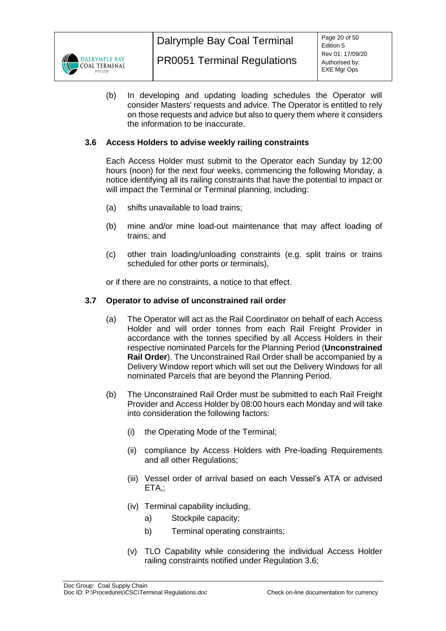

(b) In developing and updating loading schedules the Operator will consider Masters' requests and advice. The Operator is entitled to rely on those requests and advice but also to query them where it considers the information to be inaccurate.

## <span id="page-19-0"></span>**3.6 Access Holders to advise weekly railing constraints**

Each Access Holder must submit to the Operator each Sunday by 12:00 hours (noon) for the next four weeks, commencing the following Monday, a notice identifying all its railing constraints that have the potential to impact or will impact the Terminal or Terminal planning, including:

- (a) shifts unavailable to load trains;
- (b) mine and/or mine load-out maintenance that may affect loading of trains; and
- (c) other train loading/unloading constraints (e.g. split trains or trains scheduled for other ports or terminals),

or if there are no constraints, a notice to that effect.

## <span id="page-19-2"></span><span id="page-19-1"></span>**3.7 Operator to advise of unconstrained rail order**

- (a) The Operator will act as the Rail Coordinator on behalf of each Access Holder and will order tonnes from each Rail Freight Provider in accordance with the tonnes specified by all Access Holders in their respective nominated Parcels for the Planning Period (**Unconstrained Rail Order**). The Unconstrained Rail Order shall be accompanied by a Delivery Window report which will set out the Delivery Windows for all nominated Parcels that are beyond the Planning Period.
- (b) The Unconstrained Rail Order must be submitted to each Rail Freight Provider and Access Holder by 08:00 hours each Monday and will take into consideration the following factors:
	- (i) the Operating Mode of the Terminal;
	- (ii) compliance by Access Holders with Pre-loading Requirements and all other Regulations;
	- (iii) Vessel order of arrival based on each Vessel's ATA or advised ETA,;
	- (iv) Terminal capability including,
		- a) Stockpile capacity;
		- b) Terminal operating constraints;
	- (v) TLO Capability while considering the individual Access Holder railing constraints notified under Regulation [3.6;](#page-19-0)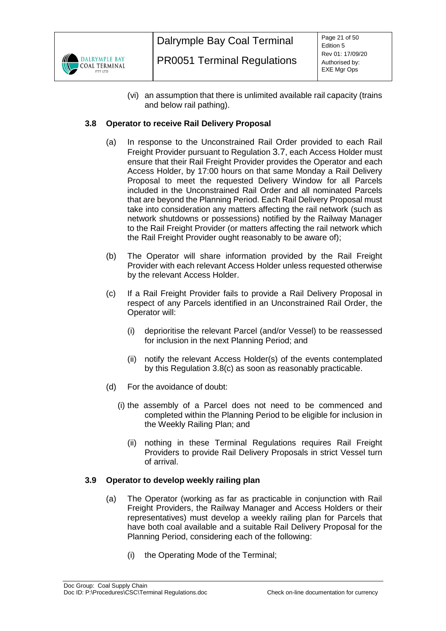

<span id="page-20-4"></span>(vi) an assumption that there is unlimited available rail capacity (trains and below rail pathing).

# <span id="page-20-0"></span>**3.8 Operator to receive Rail Delivery Proposal**

- (a) In response to the Unconstrained Rail Order provided to each Rail Freight Provider pursuant to Regulation [3.7](#page-19-1), each Access Holder must ensure that their Rail Freight Provider provides the Operator and each Access Holder, by 17:00 hours on that same Monday a Rail Delivery Proposal to meet the requested Delivery Window for all Parcels included in the Unconstrained Rail Order and all nominated Parcels that are beyond the Planning Period. Each Rail Delivery Proposal must take into consideration any matters affecting the rail network (such as network shutdowns or possessions) notified by the Railway Manager to the Rail Freight Provider (or matters affecting the rail network which the Rail Freight Provider ought reasonably to be aware of);
- (b) The Operator will share information provided by the Rail Freight Provider with each relevant Access Holder unless requested otherwise by the relevant Access Holder.
- <span id="page-20-3"></span>(c) If a Rail Freight Provider fails to provide a Rail Delivery Proposal in respect of any Parcels identified in an Unconstrained Rail Order, the Operator will:
	- (i) deprioritise the relevant Parcel (and/or Vessel) to be reassessed for inclusion in the next Planning Period; and
	- (ii) notify the relevant Access Holder(s) of the events contemplated by this Regulation [3.8\(c\)](#page-20-3) as soon as reasonably practicable.
- (d) For the avoidance of doubt:
	- (i) the assembly of a Parcel does not need to be commenced and completed within the Planning Period to be eligible for inclusion in the Weekly Railing Plan; and
		- (ii) nothing in these Terminal Regulations requires Rail Freight Providers to provide Rail Delivery Proposals in strict Vessel turn of arrival.

## <span id="page-20-2"></span><span id="page-20-1"></span>**3.9 Operator to develop weekly railing plan**

- (a) The Operator (working as far as practicable in conjunction with Rail Freight Providers, the Railway Manager and Access Holders or their representatives) must develop a weekly railing plan for Parcels that have both coal available and a suitable Rail Delivery Proposal for the Planning Period, considering each of the following:
	- (i) the Operating Mode of the Terminal;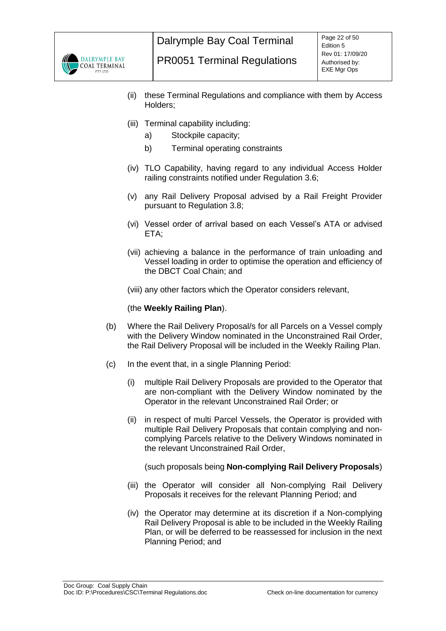

- (ii) these Terminal Regulations and compliance with them by Access Holders;
- (iii) Terminal capability including:
	- a) Stockpile capacity;
	- b) Terminal operating constraints
- (iv) TLO Capability, having regard to any individual Access Holder railing constraints notified under Regulation [3.6;](#page-19-0)
- (v) any Rail Delivery Proposal advised by a Rail Freight Provider pursuant to Regulation [3.8;](#page-20-0)
- (vi) Vessel order of arrival based on each Vessel's ATA or advised ETA;
- (vii) achieving a balance in the performance of train unloading and Vessel loading in order to optimise the operation and efficiency of the DBCT Coal Chain; and

(viii) any other factors which the Operator considers relevant,

#### (the **Weekly Railing Plan**).

- (b) Where the Rail Delivery Proposal/s for all Parcels on a Vessel comply with the Delivery Window nominated in the Unconstrained Rail Order, the Rail Delivery Proposal will be included in the Weekly Railing Plan.
- <span id="page-21-1"></span><span id="page-21-0"></span>(c) In the event that, in a single Planning Period:
	- (i) multiple Rail Delivery Proposals are provided to the Operator that are non-compliant with the Delivery Window nominated by the Operator in the relevant Unconstrained Rail Order; or
	- (ii) in respect of multi Parcel Vessels, the Operator is provided with multiple Rail Delivery Proposals that contain complying and noncomplying Parcels relative to the Delivery Windows nominated in the relevant Unconstrained Rail Order,

(such proposals being **Non-complying Rail Delivery Proposals**)

- (iii) the Operator will consider all Non-complying Rail Delivery Proposals it receives for the relevant Planning Period; and
- (iv) the Operator may determine at its discretion if a Non-complying Rail Delivery Proposal is able to be included in the Weekly Railing Plan, or will be deferred to be reassessed for inclusion in the next Planning Period; and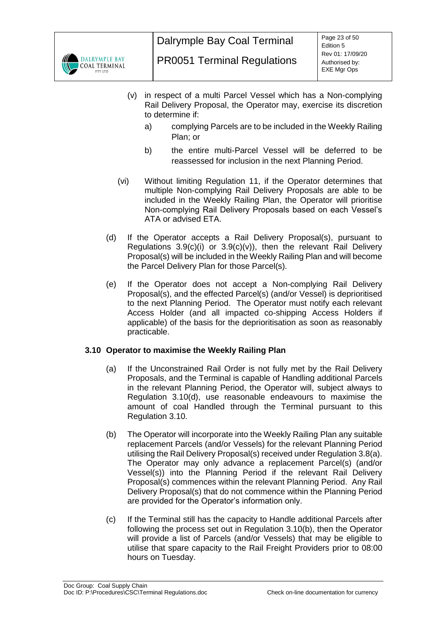

- <span id="page-22-1"></span>(v) in respect of a multi Parcel Vessel which has a Non-complying Rail Delivery Proposal, the Operator may, exercise its discretion to determine if:
	- a) complying Parcels are to be included in the Weekly Railing Plan; or
	- b) the entire multi-Parcel Vessel will be deferred to be reassessed for inclusion in the next Planning Period.
- (vi) Without limiting Regulation [11,](#page-40-0) if the Operator determines that multiple Non-complying Rail Delivery Proposals are able to be included in the Weekly Railing Plan, the Operator will prioritise Non-complying Rail Delivery Proposals based on each Vessel's ATA or advised ETA.
- (d) If the Operator accepts a Rail Delivery Proposal(s), pursuant to Regulations  $3.9(c)(i)$  or  $3.9(c)(v)$ , then the relevant Rail Delivery Proposal(s) will be included in the Weekly Railing Plan and will become the Parcel Delivery Plan for those Parcel(s).
- (e) If the Operator does not accept a Non-complying Rail Delivery Proposal(s), and the effected Parcel(s) (and/or Vessel) is deprioritised to the next Planning Period. The Operator must notify each relevant Access Holder (and all impacted co-shipping Access Holders if applicable) of the basis for the deprioritisation as soon as reasonably practicable.

## <span id="page-22-0"></span>**3.10 Operator to maximise the Weekly Railing Plan**

- (a) If the Unconstrained Rail Order is not fully met by the Rail Delivery Proposals, and the Terminal is capable of Handling additional Parcels in the relevant Planning Period, the Operator will, subject always to Regulation [3.10\(d\),](#page-23-1) use reasonable endeavours to maximise the amount of coal Handled through the Terminal pursuant to this Regulation [3.10.](#page-22-0)
- <span id="page-22-2"></span>(b) The Operator will incorporate into the Weekly Railing Plan any suitable replacement Parcels (and/or Vessels) for the relevant Planning Period utilising the Rail Delivery Proposal(s) received under Regulatio[n 3.8\(a\).](#page-20-4) The Operator may only advance a replacement Parcel(s) (and/or Vessel(s)) into the Planning Period if the relevant Rail Delivery Proposal(s) commences within the relevant Planning Period. Any Rail Delivery Proposal(s) that do not commence within the Planning Period are provided for the Operator's information only.
- <span id="page-22-3"></span>(c) If the Terminal still has the capacity to Handle additional Parcels after following the process set out in Regulation [3.10\(b\),](#page-22-2) then the Operator will provide a list of Parcels (and/or Vessels) that may be eligible to utilise that spare capacity to the Rail Freight Providers prior to 08:00 hours on Tuesday.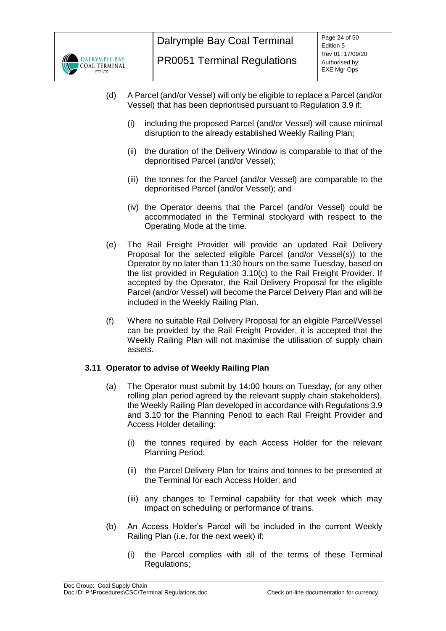

- <span id="page-23-1"></span>(d) A Parcel (and/or Vessel) will only be eligible to replace a Parcel (and/or Vessel) that has been deprioritised pursuant to Regulation [3.9](#page-20-1) if:
	- (i) including the proposed Parcel (and/or Vessel) will cause minimal disruption to the already established Weekly Railing Plan;
	- (ii) the duration of the Delivery Window is comparable to that of the deprioritised Parcel (and/or Vessel);
	- (iii) the tonnes for the Parcel (and/or Vessel) are comparable to the deprioritised Parcel (and/or Vessel); and
	- (iv) the Operator deems that the Parcel (and/or Vessel) could be accommodated in the Terminal stockyard with respect to the Operating Mode at the time.
- (e) The Rail Freight Provider will provide an updated Rail Delivery Proposal for the selected eligible Parcel (and/or Vessel(s)) to the Operator by no later than 11:30 hours on the same Tuesday, based on the list provided in Regulation [3.10\(c\)](#page-22-3) to the Rail Freight Provider. If accepted by the Operator, the Rail Delivery Proposal for the eligible Parcel (and/or Vessel) will become the Parcel Delivery Plan and will be included in the Weekly Railing Plan.
- (f) Where no suitable Rail Delivery Proposal for an eligible Parcel/Vessel can be provided by the Rail Freight Provider, it is accepted that the Weekly Railing Plan will not maximise the utilisation of supply chain assets.

## <span id="page-23-0"></span>**3.11 Operator to advise of Weekly Railing Plan**

- (a) The Operator must submit by 14:00 hours on Tuesday, (or any other rolling plan period agreed by the relevant supply chain stakeholders), the Weekly Railing Plan developed in accordance with Regulations [3.9](#page-20-1) and [3.10](#page-22-0) for the Planning Period to each Rail Freight Provider and Access Holder detailing:
	- (i) the tonnes required by each Access Holder for the relevant Planning Period;
	- (ii) the Parcel Delivery Plan for trains and tonnes to be presented at the Terminal for each Access Holder; and
	- (iii) any changes to Terminal capability for that week which may impact on scheduling or performance of trains.
- (b) An Access Holder's Parcel will be included in the current Weekly Railing Plan (i.e. for the next week) if:
	- (i) the Parcel complies with all of the terms of these Terminal Regulations;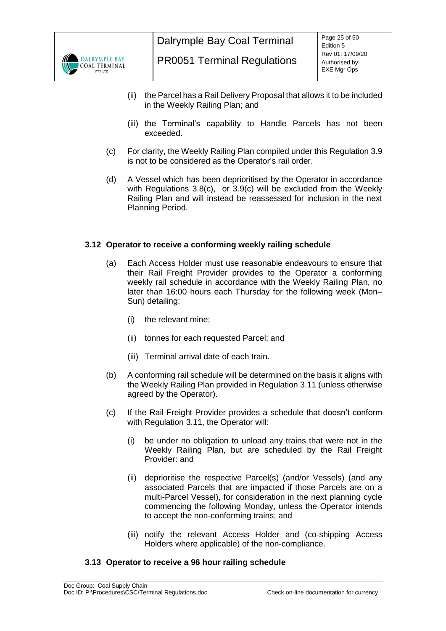

- (ii) the Parcel has a Rail Delivery Proposal that allows it to be included in the Weekly Railing Plan; and
- (iii) the Terminal's capability to Handle Parcels has not been exceeded.
- (c) For clarity, the Weekly Railing Plan compiled under this Regulation [3.9](#page-20-1) is not to be considered as the Operator's rail order.
- (d) A Vessel which has been deprioritised by the Operator in accordance with Regulations [3.8\(c\),](#page-20-3) or [3.9\(c\)](#page-21-0) will be excluded from the Weekly Railing Plan and will instead be reassessed for inclusion in the next Planning Period.

## <span id="page-24-0"></span>**3.12 Operator to receive a conforming weekly railing schedule**

- (a) Each Access Holder must use reasonable endeavours to ensure that their Rail Freight Provider provides to the Operator a conforming weekly rail schedule in accordance with the Weekly Railing Plan, no later than 16:00 hours each Thursday for the following week (Mon– Sun) detailing:
	- (i) the relevant mine;
	- (ii) tonnes for each requested Parcel; and
	- (iii) Terminal arrival date of each train.
- (b) A conforming rail schedule will be determined on the basis it aligns with the Weekly Railing Plan provided in Regulation [3.11](#page-23-0) (unless otherwise agreed by the Operator).
- (c) If the Rail Freight Provider provides a schedule that doesn't conform with Regulation [3.11,](#page-23-0) the Operator will:
	- (i) be under no obligation to unload any trains that were not in the Weekly Railing Plan, but are scheduled by the Rail Freight Provider: and
	- (ii) deprioritise the respective Parcel(s) (and/or Vessels) (and any associated Parcels that are impacted if those Parcels are on a multi-Parcel Vessel), for consideration in the next planning cycle commencing the following Monday, unless the Operator intends to accept the non-conforming trains; and
	- (iii) notify the relevant Access Holder and (co-shipping Access Holders where applicable) of the non-compliance.

## <span id="page-24-1"></span>**3.13 Operator to receive a 96 hour railing schedule**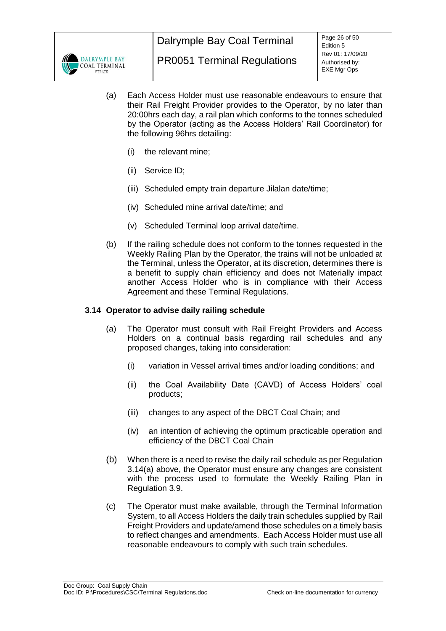

- (a) Each Access Holder must use reasonable endeavours to ensure that their Rail Freight Provider provides to the Operator, by no later than 20:00hrs each day, a rail plan which conforms to the tonnes scheduled by the Operator (acting as the Access Holders' Rail Coordinator) for the following 96hrs detailing:
	- (i) the relevant mine;
	- (ii) Service ID;
	- (iii) Scheduled empty train departure Jilalan date/time;
	- (iv) Scheduled mine arrival date/time; and
	- (v) Scheduled Terminal loop arrival date/time.
- (b) If the railing schedule does not conform to the tonnes requested in the Weekly Railing Plan by the Operator, the trains will not be unloaded at the Terminal, unless the Operator, at its discretion, determines there is a benefit to supply chain efficiency and does not Materially impact another Access Holder who is in compliance with their Access Agreement and these Terminal Regulations.

## <span id="page-25-1"></span><span id="page-25-0"></span>**3.14 Operator to advise daily railing schedule**

- (a) The Operator must consult with Rail Freight Providers and Access Holders on a continual basis regarding rail schedules and any proposed changes, taking into consideration:
	- (i) variation in Vessel arrival times and/or loading conditions; and
	- (ii) the Coal Availability Date (CAVD) of Access Holders' coal products;
	- (iii) changes to any aspect of the DBCT Coal Chain; and
	- (iv) an intention of achieving the optimum practicable operation and efficiency of the DBCT Coal Chain
- (b) When there is a need to revise the daily rail schedule as per Regulation [3.14\(a\)](#page-25-1) above, the Operator must ensure any changes are consistent with the process used to formulate the Weekly Railing Plan in Regulation [3.9.](#page-20-1)
- (c) The Operator must make available, through the Terminal Information System, to all Access Holders the daily train schedules supplied by Rail Freight Providers and update/amend those schedules on a timely basis to reflect changes and amendments. Each Access Holder must use all reasonable endeavours to comply with such train schedules.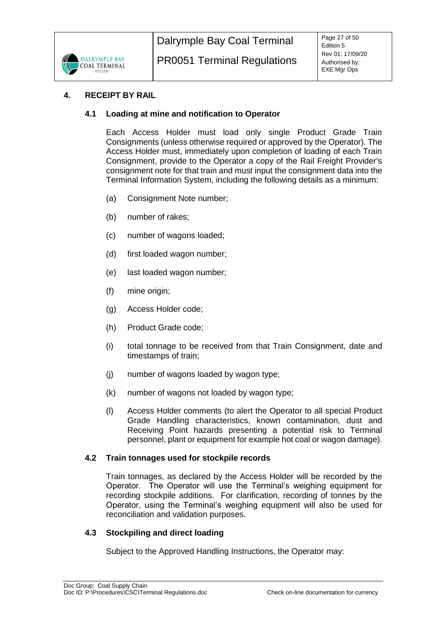

## <span id="page-26-1"></span><span id="page-26-0"></span>**4. RECEIPT BY RAIL**

## **4.1 Loading at mine and notification to Operator**

Each Access Holder must load only single Product Grade Train Consignments (unless otherwise required or approved by the Operator). The Access Holder must, immediately upon completion of loading of each Train Consignment, provide to the Operator a copy of the Rail Freight Provider's consignment note for that train and must input the consignment data into the Terminal Information System, including the following details as a minimum:

- (a) Consignment Note number;
- (b) number of rakes;
- (c) number of wagons loaded;
- (d) first loaded wagon number;
- (e) last loaded wagon number;
- (f) mine origin;
- (g) Access Holder code;
- (h) Product Grade code;
- (i) total tonnage to be received from that Train Consignment, date and timestamps of train;
- (j) number of wagons loaded by wagon type;
- (k) number of wagons not loaded by wagon type;
- (l) Access Holder comments (to alert the Operator to all special Product Grade Handling characteristics, known contamination, dust and Receiving Point hazards presenting a potential risk to Terminal personnel, plant or equipment for example hot coal or wagon damage).

#### <span id="page-26-2"></span>**4.2 Train tonnages used for stockpile records**

Train tonnages, as declared by the Access Holder will be recorded by the Operator. The Operator will use the Terminal's weighing equipment for recording stockpile additions. For clarification, recording of tonnes by the Operator, using the Terminal's weighing equipment will also be used for reconciliation and validation purposes.

## <span id="page-26-3"></span>**4.3 Stockpiling and direct loading**

Subject to the Approved Handling Instructions, the Operator may: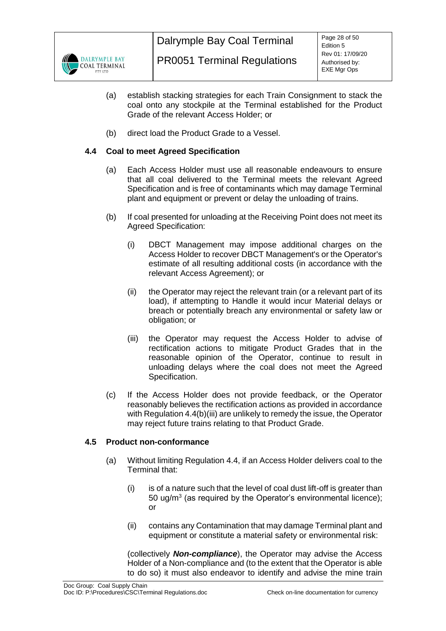

- (a) establish stacking strategies for each Train Consignment to stack the coal onto any stockpile at the Terminal established for the Product Grade of the relevant Access Holder; or
- (b) direct load the Product Grade to a Vessel.

## <span id="page-27-0"></span>**4.4 Coal to meet Agreed Specification**

- (a) Each Access Holder must use all reasonable endeavours to ensure that all coal delivered to the Terminal meets the relevant Agreed Specification and is free of contaminants which may damage Terminal plant and equipment or prevent or delay the unloading of trains.
- (b) If coal presented for unloading at the Receiving Point does not meet its Agreed Specification:
	- (i) DBCT Management may impose additional charges on the Access Holder to recover DBCT Management's or the Operator's estimate of all resulting additional costs (in accordance with the relevant Access Agreement); or
	- (ii) the Operator may reject the relevant train (or a relevant part of its load), if attempting to Handle it would incur Material delays or breach or potentially breach any environmental or safety law or obligation; or
	- (iii) the Operator may request the Access Holder to advise of rectification actions to mitigate Product Grades that in the reasonable opinion of the Operator, continue to result in unloading delays where the coal does not meet the Agreed Specification.
- (c) If the Access Holder does not provide feedback, or the Operator reasonably believes the rectification actions as provided in accordance with Regulation 4.4(b)(iii) are unlikely to remedy the issue, the Operator may reject future trains relating to that Product Grade.

## <span id="page-27-3"></span><span id="page-27-2"></span><span id="page-27-1"></span>**4.5 Product non-conformance**

- (a) Without limiting Regulation [4.4,](#page-27-0) if an Access Holder delivers coal to the Terminal that:
	- (i) is of a nature such that the level of coal dust lift-off is greater than 50 ug/ $m<sup>3</sup>$  (as required by the Operator's environmental licence); or
	- (ii) contains any Contamination that may damage Terminal plant and equipment or constitute a material safety or environmental risk:

(collectively *Non-compliance*), the Operator may advise the Access Holder of a Non-compliance and (to the extent that the Operator is able to do so) it must also endeavor to identify and advise the mine train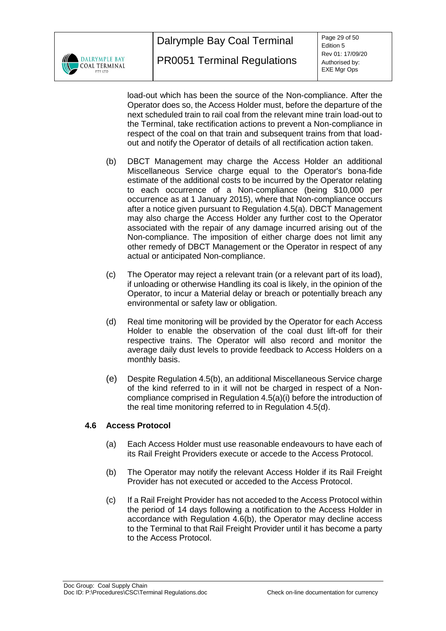

Page 29 of 50 Edition 5 Rev 01: 17/09/20 Authorised by: EXE Mgr Ops

load-out which has been the source of the Non-compliance. After the Operator does so, the Access Holder must, before the departure of the next scheduled train to rail coal from the relevant mine train load-out to the Terminal, take rectification actions to prevent a Non-compliance in respect of the coal on that train and subsequent trains from that loadout and notify the Operator of details of all rectification action taken.

- <span id="page-28-1"></span>(b) DBCT Management may charge the Access Holder an additional Miscellaneous Service charge equal to the Operator's bona-fide estimate of the additional costs to be incurred by the Operator relating to each occurrence of a Non-compliance (being \$10,000 per occurrence as at 1 January 2015), where that Non-compliance occurs after a notice given pursuant to Regulation [4.5\(a\).](#page-27-2) DBCT Management may also charge the Access Holder any further cost to the Operator associated with the repair of any damage incurred arising out of the Non-compliance. The imposition of either charge does not limit any other remedy of DBCT Management or the Operator in respect of any actual or anticipated Non-compliance.
- (c) The Operator may reject a relevant train (or a relevant part of its load), if unloading or otherwise Handling its coal is likely, in the opinion of the Operator, to incur a Material delay or breach or potentially breach any environmental or safety law or obligation.
- <span id="page-28-2"></span>(d) Real time monitoring will be provided by the Operator for each Access Holder to enable the observation of the coal dust lift-off for their respective trains. The Operator will also record and monitor the average daily dust levels to provide feedback to Access Holders on a monthly basis.
- (e) Despite Regulation [4.5\(b\),](#page-28-1) an additional Miscellaneous Service charge of the kind referred to in it will not be charged in respect of a Noncompliance comprised in Regulation [4.5\(a\)\(i\)](#page-27-3) before the introduction of the real time monitoring referred to in Regulation [4.5\(d\).](#page-28-2)

## <span id="page-28-0"></span>**4.6 Access Protocol**

- (a) Each Access Holder must use reasonable endeavours to have each of its Rail Freight Providers execute or accede to the Access Protocol.
- <span id="page-28-3"></span>(b) The Operator may notify the relevant Access Holder if its Rail Freight Provider has not executed or acceded to the Access Protocol.
- (c) If a Rail Freight Provider has not acceded to the Access Protocol within the period of 14 days following a notification to the Access Holder in accordance with Regulation [4.6\(b\),](#page-28-3) the Operator may decline access to the Terminal to that Rail Freight Provider until it has become a party to the Access Protocol.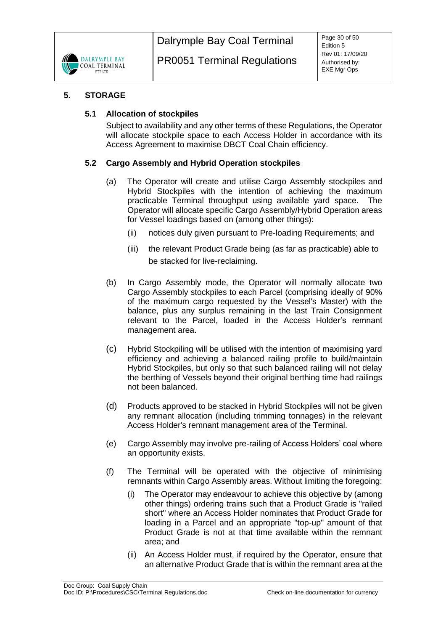

## <span id="page-29-1"></span><span id="page-29-0"></span>**5. STORAGE**

## **5.1 Allocation of stockpiles**

Subject to availability and any other terms of these Regulations, the Operator will allocate stockpile space to each Access Holder in accordance with its Access Agreement to maximise DBCT Coal Chain efficiency.

## <span id="page-29-2"></span>**5.2 Cargo Assembly and Hybrid Operation stockpiles**

- (a) The Operator will create and utilise Cargo Assembly stockpiles and Hybrid Stockpiles with the intention of achieving the maximum practicable Terminal throughput using available yard space. The Operator will allocate specific Cargo Assembly/Hybrid Operation areas for Vessel loadings based on (among other things):
	- (ii) notices duly given pursuant to Pre-loading Requirements; and
	- (iii) the relevant Product Grade being (as far as practicable) able to be stacked for live-reclaiming.
- <span id="page-29-3"></span>(b) In Cargo Assembly mode, the Operator will normally allocate two Cargo Assembly stockpiles to each Parcel (comprising ideally of 90% of the maximum cargo requested by the Vessel's Master) with the balance, plus any surplus remaining in the last Train Consignment relevant to the Parcel, loaded in the Access Holder's remnant management area.
- (c) Hybrid Stockpiling will be utilised with the intention of maximising yard efficiency and achieving a balanced railing profile to build/maintain Hybrid Stockpiles, but only so that such balanced railing will not delay the berthing of Vessels beyond their original berthing time had railings not been balanced.
- (d) Products approved to be stacked in Hybrid Stockpiles will not be given any remnant allocation (including trimming tonnages) in the relevant Access Holder's remnant management area of the Terminal.
- (e) Cargo Assembly may involve pre-railing of Access Holders' coal where an opportunity exists.
- (f) The Terminal will be operated with the objective of minimising remnants within Cargo Assembly areas. Without limiting the foregoing:
	- (i) The Operator may endeavour to achieve this objective by (among other things) ordering trains such that a Product Grade is "railed short" where an Access Holder nominates that Product Grade for loading in a Parcel and an appropriate "top-up" amount of that Product Grade is not at that time available within the remnant area; and
	- (ii) An Access Holder must, if required by the Operator, ensure that an alternative Product Grade that is within the remnant area at the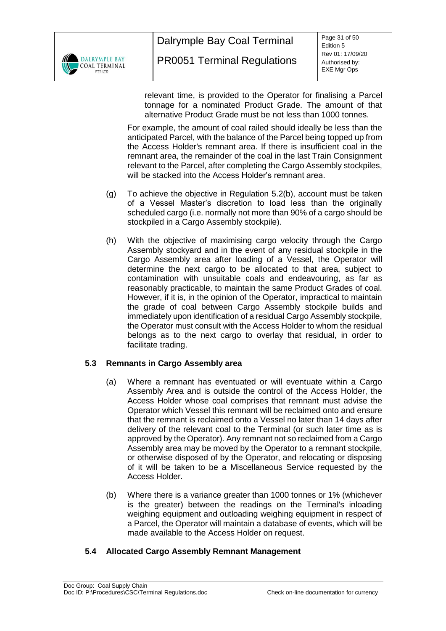

relevant time, is provided to the Operator for finalising a Parcel tonnage for a nominated Product Grade. The amount of that alternative Product Grade must be not less than 1000 tonnes.

For example, the amount of coal railed should ideally be less than the anticipated Parcel, with the balance of the Parcel being topped up from the Access Holder's remnant area. If there is insufficient coal in the remnant area, the remainder of the coal in the last Train Consignment relevant to the Parcel, after completing the Cargo Assembly stockpiles, will be stacked into the Access Holder's remnant area.

- (g) To achieve the objective in Regulation [5.2\(b\),](#page-29-3) account must be taken of a Vessel Master's discretion to load less than the originally scheduled cargo (i.e. normally not more than 90% of a cargo should be stockpiled in a Cargo Assembly stockpile).
- (h) With the objective of maximising cargo velocity through the Cargo Assembly stockyard and in the event of any residual stockpile in the Cargo Assembly area after loading of a Vessel, the Operator will determine the next cargo to be allocated to that area, subject to contamination with unsuitable coals and endeavouring, as far as reasonably practicable, to maintain the same Product Grades of coal. However, if it is, in the opinion of the Operator, impractical to maintain the grade of coal between Cargo Assembly stockpile builds and immediately upon identification of a residual Cargo Assembly stockpile, the Operator must consult with the Access Holder to whom the residual belongs as to the next cargo to overlay that residual, in order to facilitate trading.

# <span id="page-30-0"></span>**5.3 Remnants in Cargo Assembly area**

- (a) Where a remnant has eventuated or will eventuate within a Cargo Assembly Area and is outside the control of the Access Holder, the Access Holder whose coal comprises that remnant must advise the Operator which Vessel this remnant will be reclaimed onto and ensure that the remnant is reclaimed onto a Vessel no later than 14 days after delivery of the relevant coal to the Terminal (or such later time as is approved by the Operator). Any remnant not so reclaimed from a Cargo Assembly area may be moved by the Operator to a remnant stockpile, or otherwise disposed of by the Operator, and relocating or disposing of it will be taken to be a Miscellaneous Service requested by the Access Holder.
- (b) Where there is a variance greater than 1000 tonnes or 1% (whichever is the greater) between the readings on the Terminal's inloading weighing equipment and outloading weighing equipment in respect of a Parcel, the Operator will maintain a database of events, which will be made available to the Access Holder on request.

## <span id="page-30-1"></span>**5.4 Allocated Cargo Assembly Remnant Management**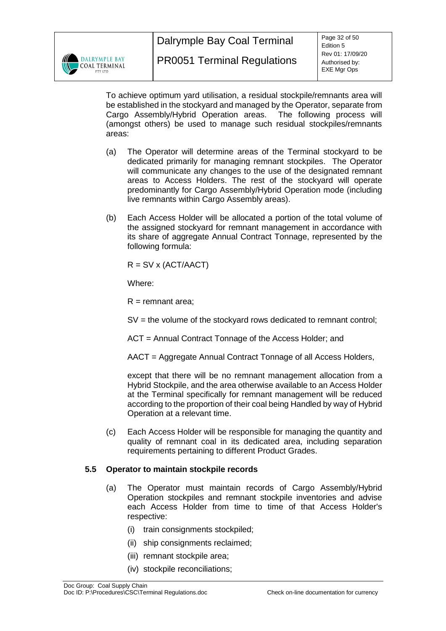

To achieve optimum yard utilisation, a residual stockpile/remnants area will be established in the stockyard and managed by the Operator, separate from Cargo Assembly/Hybrid Operation areas. The following process will (amongst others) be used to manage such residual stockpiles/remnants areas:

- (a) The Operator will determine areas of the Terminal stockyard to be dedicated primarily for managing remnant stockpiles. The Operator will communicate any changes to the use of the designated remnant areas to Access Holders. The rest of the stockyard will operate predominantly for Cargo Assembly/Hybrid Operation mode (including live remnants within Cargo Assembly areas).
- (b) Each Access Holder will be allocated a portion of the total volume of the assigned stockyard for remnant management in accordance with its share of aggregate Annual Contract Tonnage, represented by the following formula:

 $R = SV \times (ACT/AACT)$ 

Where:

 $R =$  remnant area:

SV = the volume of the stockyard rows dedicated to remnant control;

ACT = Annual Contract Tonnage of the Access Holder; and

AACT = Aggregate Annual Contract Tonnage of all Access Holders,

except that there will be no remnant management allocation from a Hybrid Stockpile, and the area otherwise available to an Access Holder at the Terminal specifically for remnant management will be reduced according to the proportion of their coal being Handled by way of Hybrid Operation at a relevant time.

(c) Each Access Holder will be responsible for managing the quantity and quality of remnant coal in its dedicated area, including separation requirements pertaining to different Product Grades.

# <span id="page-31-0"></span>**5.5 Operator to maintain stockpile records**

- (a) The Operator must maintain records of Cargo Assembly/Hybrid Operation stockpiles and remnant stockpile inventories and advise each Access Holder from time to time of that Access Holder's respective:
	- (i) train consignments stockpiled;
	- (ii) ship consignments reclaimed;
	- (iii) remnant stockpile area;
	- (iv) stockpile reconciliations;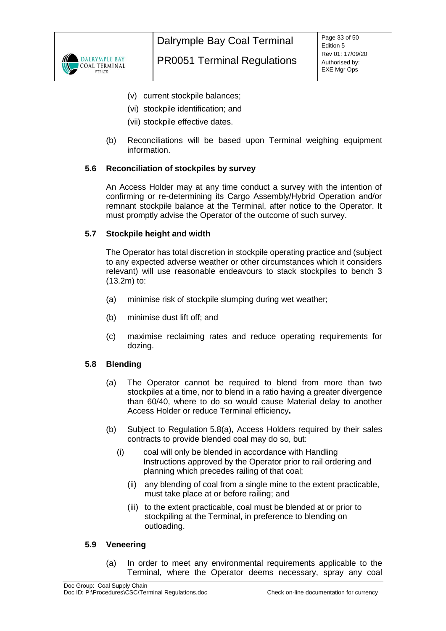

- (v) current stockpile balances;
- (vi) stockpile identification; and
- (vii) stockpile effective dates.
- (b) Reconciliations will be based upon Terminal weighing equipment information.

#### <span id="page-32-0"></span>**5.6 Reconciliation of stockpiles by survey**

An Access Holder may at any time conduct a survey with the intention of confirming or re-determining its Cargo Assembly/Hybrid Operation and/or remnant stockpile balance at the Terminal, after notice to the Operator. It must promptly advise the Operator of the outcome of such survey.

#### <span id="page-32-1"></span>**5.7 Stockpile height and width**

The Operator has total discretion in stockpile operating practice and (subject to any expected adverse weather or other circumstances which it considers relevant) will use reasonable endeavours to stack stockpiles to bench 3 (13.2m) to:

- (a) minimise risk of stockpile slumping during wet weather;
- (b) minimise dust lift off; and
- (c) maximise reclaiming rates and reduce operating requirements for dozing.

## <span id="page-32-4"></span><span id="page-32-2"></span>**5.8 Blending**

- (a) The Operator cannot be required to blend from more than two stockpiles at a time, nor to blend in a ratio having a greater divergence than 60/40, where to do so would cause Material delay to another Access Holder or reduce Terminal efficiency**.**
- (b) Subject to Regulation [5.8\(a\),](#page-32-4) Access Holders required by their sales contracts to provide blended coal may do so, but:
	- (i) coal will only be blended in accordance with Handling Instructions approved by the Operator prior to rail ordering and planning which precedes railing of that coal;
		- (ii) any blending of coal from a single mine to the extent practicable, must take place at or before railing; and
		- (iii) to the extent practicable, coal must be blended at or prior to stockpiling at the Terminal, in preference to blending on outloading.

#### <span id="page-32-3"></span>**5.9 Veneering**

(a) In order to meet any environmental requirements applicable to the Terminal, where the Operator deems necessary, spray any coal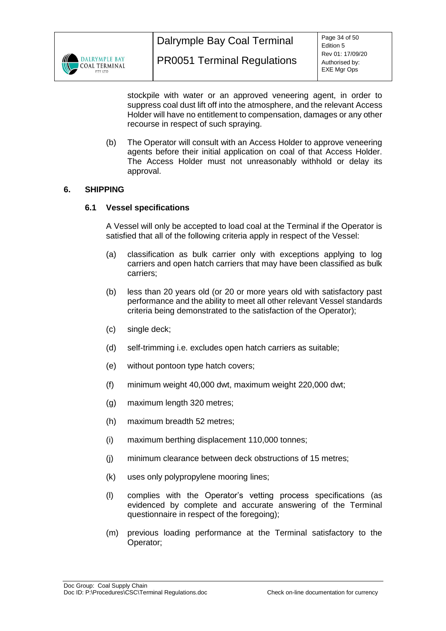

stockpile with water or an approved veneering agent, in order to suppress coal dust lift off into the atmosphere, and the relevant Access Holder will have no entitlement to compensation, damages or any other recourse in respect of such spraying.

(b) The Operator will consult with an Access Holder to approve veneering agents before their initial application on coal of that Access Holder. The Access Holder must not unreasonably withhold or delay its approval.

## <span id="page-33-1"></span><span id="page-33-0"></span>**6. SHIPPING**

## **6.1 Vessel specifications**

A Vessel will only be accepted to load coal at the Terminal if the Operator is satisfied that all of the following criteria apply in respect of the Vessel:

- (a) classification as bulk carrier only with exceptions applying to log carriers and open hatch carriers that may have been classified as bulk carriers;
- (b) less than 20 years old (or 20 or more years old with satisfactory past performance and the ability to meet all other relevant Vessel standards criteria being demonstrated to the satisfaction of the Operator);
- (c) single deck;
- (d) self-trimming i.e. excludes open hatch carriers as suitable;
- (e) without pontoon type hatch covers;
- (f) minimum weight 40,000 dwt, maximum weight 220,000 dwt;
- (g) maximum length 320 metres;
- (h) maximum breadth 52 metres;
- (i) maximum berthing displacement 110,000 tonnes;
- (j) minimum clearance between deck obstructions of 15 metres;
- (k) uses only polypropylene mooring lines;
- (l) complies with the Operator's vetting process specifications (as evidenced by complete and accurate answering of the Terminal questionnaire in respect of the foregoing);
- (m) previous loading performance at the Terminal satisfactory to the Operator;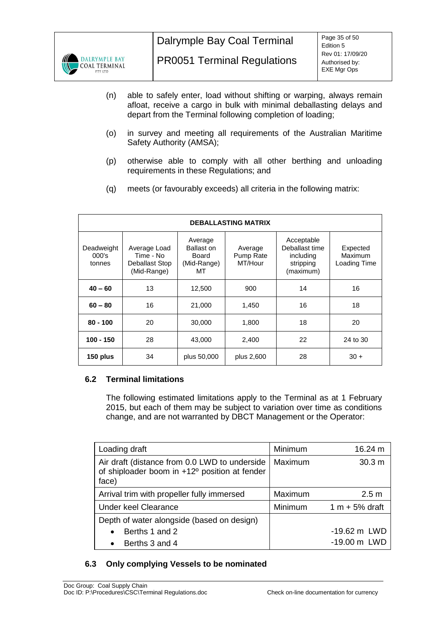

- (n) able to safely enter, load without shifting or warping, always remain afloat, receive a cargo in bulk with minimal deballasting delays and depart from the Terminal following completion of loading;
- (o) in survey and meeting all requirements of the Australian Maritime Safety Authority (AMSA);
- (p) otherwise able to comply with all other berthing and unloading requirements in these Regulations; and
- (q) meets (or favourably exceeds) all criteria in the following matrix:

| <b>DEBALLASTING MATRIX</b>    |                                                            |                                                     |                                 |                                                                     |                                     |  |  |  |
|-------------------------------|------------------------------------------------------------|-----------------------------------------------------|---------------------------------|---------------------------------------------------------------------|-------------------------------------|--|--|--|
| Deadweight<br>000's<br>tonnes | Average Load<br>Time - No<br>Deballast Stop<br>(Mid-Range) | Average<br>Ballast on<br>Board<br>(Mid-Range)<br>MТ | Average<br>Pump Rate<br>MT/Hour | Acceptable<br>Deballast time<br>including<br>stripping<br>(maximum) | Expected<br>Maximum<br>Loading Time |  |  |  |
| $40 - 60$                     | 13                                                         | 12,500                                              | 900                             | 14                                                                  | 16                                  |  |  |  |
| 16<br>21,000<br>$60 - 80$     |                                                            | 1,450                                               | 16                              | 18                                                                  |                                     |  |  |  |
| $80 - 100$                    | 20                                                         | 30,000                                              | 1,800                           | 18                                                                  | 20                                  |  |  |  |
| $100 - 150$<br>28<br>43,000   |                                                            | 2,400                                               | 22                              | 24 to 30                                                            |                                     |  |  |  |
| 150 plus                      | 34                                                         | plus 50,000                                         | plus 2,600                      | 28                                                                  | $30 +$                              |  |  |  |

## <span id="page-34-0"></span>**6.2 Terminal limitations**

The following estimated limitations apply to the Terminal as at 1 February 2015, but each of them may be subject to variation over time as conditions change, and are not warranted by DBCT Management or the Operator:

| Loading draft                                                                                           | Minimum | 16.24 m                |
|---------------------------------------------------------------------------------------------------------|---------|------------------------|
| Air draft (distance from 0.0 LWD to underside<br>of shiploader boom in +12° position at fender<br>face) | Maximum | 30.3 m                 |
| Arrival trim with propeller fully immersed                                                              | Maximum | 2.5 <sub>m</sub>       |
| <b>Under keel Clearance</b>                                                                             | Minimum | 1 m $+5%$ draft        |
| Depth of water alongside (based on design)                                                              |         |                        |
| Berths 1 and 2<br>$\bullet$                                                                             |         | $-19.62 \text{ m}$ LWD |
| Berths 3 and 4<br>$\bullet$                                                                             |         | -19.00 m LWD           |

# <span id="page-34-1"></span>**6.3 Only complying Vessels to be nominated**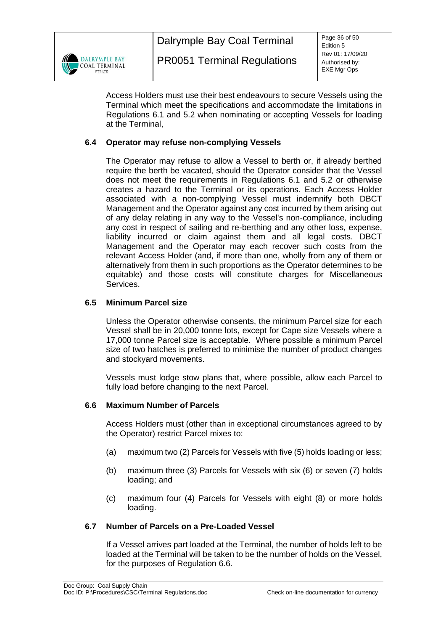

Access Holders must use their best endeavours to secure Vessels using the Terminal which meet the specifications and accommodate the limitations in Regulations [6.1](#page-33-1) and [5.2](#page-29-2) when nominating or accepting Vessels for loading at the Terminal,

# <span id="page-35-0"></span>**6.4 Operator may refuse non-complying Vessels**

The Operator may refuse to allow a Vessel to berth or, if already berthed require the berth be vacated, should the Operator consider that the Vessel does not meet the requirements in Regulations [6.1](#page-33-1) and [5.2](#page-29-2) or otherwise creates a hazard to the Terminal or its operations. Each Access Holder associated with a non-complying Vessel must indemnify both DBCT Management and the Operator against any cost incurred by them arising out of any delay relating in any way to the Vessel's non-compliance, including any cost in respect of sailing and re-berthing and any other loss, expense, liability incurred or claim against them and all legal costs. DBCT Management and the Operator may each recover such costs from the relevant Access Holder (and, if more than one, wholly from any of them or alternatively from them in such proportions as the Operator determines to be equitable) and those costs will constitute charges for Miscellaneous Services.

## <span id="page-35-1"></span>**6.5 Minimum Parcel size**

Unless the Operator otherwise consents, the minimum Parcel size for each Vessel shall be in 20,000 tonne lots, except for Cape size Vessels where a 17,000 tonne Parcel size is acceptable. Where possible a minimum Parcel size of two hatches is preferred to minimise the number of product changes and stockyard movements.

Vessels must lodge stow plans that, where possible, allow each Parcel to fully load before changing to the next Parcel.

## <span id="page-35-2"></span>**6.6 Maximum Number of Parcels**

Access Holders must (other than in exceptional circumstances agreed to by the Operator) restrict Parcel mixes to:

- (a) maximum two (2) Parcels for Vessels with five (5) holds loading or less;
- (b) maximum three (3) Parcels for Vessels with six (6) or seven (7) holds loading; and
- (c) maximum four (4) Parcels for Vessels with eight (8) or more holds loading.

## <span id="page-35-3"></span>**6.7 Number of Parcels on a Pre-Loaded Vessel**

If a Vessel arrives part loaded at the Terminal, the number of holds left to be loaded at the Terminal will be taken to be the number of holds on the Vessel, for the purposes of Regulation [6.6.](#page-35-2)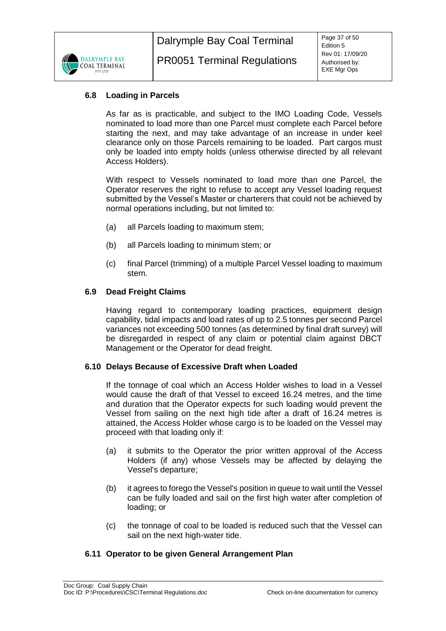

# <span id="page-36-0"></span>**6.8 Loading in Parcels**

As far as is practicable, and subject to the IMO Loading Code, Vessels nominated to load more than one Parcel must complete each Parcel before starting the next, and may take advantage of an increase in under keel clearance only on those Parcels remaining to be loaded. Part cargos must only be loaded into empty holds (unless otherwise directed by all relevant Access Holders).

With respect to Vessels nominated to load more than one Parcel, the Operator reserves the right to refuse to accept any Vessel loading request submitted by the Vessel's Master or charterers that could not be achieved by normal operations including, but not limited to:

- (a) all Parcels loading to maximum stem;
- (b) all Parcels loading to minimum stem; or
- (c) final Parcel (trimming) of a multiple Parcel Vessel loading to maximum stem.

#### <span id="page-36-1"></span>**6.9 Dead Freight Claims**

Having regard to contemporary loading practices, equipment design capability, tidal impacts and load rates of up to 2.5 tonnes per second Parcel variances not exceeding 500 tonnes (as determined by final draft survey) will be disregarded in respect of any claim or potential claim against DBCT Management or the Operator for dead freight.

#### <span id="page-36-2"></span>**6.10 Delays Because of Excessive Draft when Loaded**

If the tonnage of coal which an Access Holder wishes to load in a Vessel would cause the draft of that Vessel to exceed 16.24 metres, and the time and duration that the Operator expects for such loading would prevent the Vessel from sailing on the next high tide after a draft of 16.24 metres is attained, the Access Holder whose cargo is to be loaded on the Vessel may proceed with that loading only if:

- (a) it submits to the Operator the prior written approval of the Access Holders (if any) whose Vessels may be affected by delaying the Vessel's departure;
- (b) it agrees to forego the Vessel's position in queue to wait until the Vessel can be fully loaded and sail on the first high water after completion of loading; or
- (c) the tonnage of coal to be loaded is reduced such that the Vessel can sail on the next high-water tide.

## <span id="page-36-3"></span>**6.11 Operator to be given General Arrangement Plan**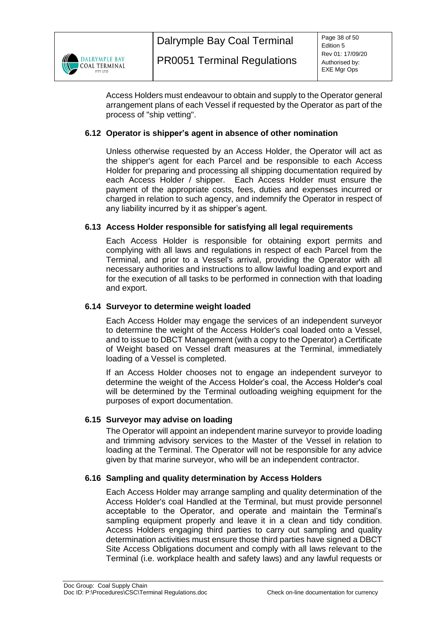

Access Holders must endeavour to obtain and supply to the Operator general arrangement plans of each Vessel if requested by the Operator as part of the process of "ship vetting".

## <span id="page-37-0"></span>**6.12 Operator is shipper's agent in absence of other nomination**

Unless otherwise requested by an Access Holder, the Operator will act as the shipper's agent for each Parcel and be responsible to each Access Holder for preparing and processing all shipping documentation required by each Access Holder / shipper. Each Access Holder must ensure the payment of the appropriate costs, fees, duties and expenses incurred or charged in relation to such agency, and indemnify the Operator in respect of any liability incurred by it as shipper's agent.

## <span id="page-37-1"></span>**6.13 Access Holder responsible for satisfying all legal requirements**

Each Access Holder is responsible for obtaining export permits and complying with all laws and regulations in respect of each Parcel from the Terminal, and prior to a Vessel's arrival, providing the Operator with all necessary authorities and instructions to allow lawful loading and export and for the execution of all tasks to be performed in connection with that loading and export.

## <span id="page-37-2"></span>**6.14 Surveyor to determine weight loaded**

Each Access Holder may engage the services of an independent surveyor to determine the weight of the Access Holder's coal loaded onto a Vessel, and to issue to DBCT Management (with a copy to the Operator) a Certificate of Weight based on Vessel draft measures at the Terminal, immediately loading of a Vessel is completed.

If an Access Holder chooses not to engage an independent surveyor to determine the weight of the Access Holder's coal, the Access Holder's coal will be determined by the Terminal outloading weighing equipment for the purposes of export documentation.

## <span id="page-37-3"></span>**6.15 Surveyor may advise on loading**

The Operator will appoint an independent marine surveyor to provide loading and trimming advisory services to the Master of the Vessel in relation to loading at the Terminal. The Operator will not be responsible for any advice given by that marine surveyor, who will be an independent contractor.

## <span id="page-37-4"></span>**6.16 Sampling and quality determination by Access Holders**

Each Access Holder may arrange sampling and quality determination of the Access Holder's coal Handled at the Terminal, but must provide personnel acceptable to the Operator, and operate and maintain the Terminal's sampling equipment properly and leave it in a clean and tidy condition. Access Holders engaging third parties to carry out sampling and quality determination activities must ensure those third parties have signed a DBCT Site Access Obligations document and comply with all laws relevant to the Terminal (i.e. workplace health and safety laws) and any lawful requests or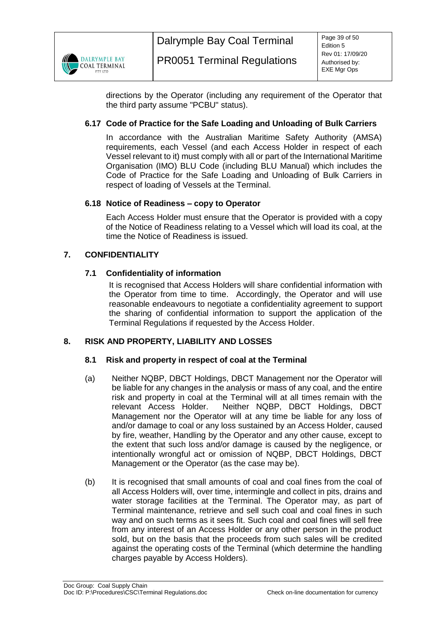

directions by the Operator (including any requirement of the Operator that the third party assume "PCBU" status).

# <span id="page-38-0"></span>**6.17 Code of Practice for the Safe Loading and Unloading of Bulk Carriers**

In accordance with the Australian Maritime Safety Authority (AMSA) requirements, each Vessel (and each Access Holder in respect of each Vessel relevant to it) must comply with all or part of the International Maritime Organisation (IMO) BLU Code (including BLU Manual) which includes the Code of Practice for the Safe Loading and Unloading of Bulk Carriers in respect of loading of Vessels at the Terminal.

## <span id="page-38-1"></span>**6.18 Notice of Readiness – copy to Operator**

Each Access Holder must ensure that the Operator is provided with a copy of the Notice of Readiness relating to a Vessel which will load its coal, at the time the Notice of Readiness is issued.

## <span id="page-38-3"></span><span id="page-38-2"></span>**7. CONFIDENTIALITY**

## **7.1 Confidentiality of information**

It is recognised that Access Holders will share confidential information with the Operator from time to time. Accordingly, the Operator and will use reasonable endeavours to negotiate a confidentiality agreement to support the sharing of confidential information to support the application of the Terminal Regulations if requested by the Access Holder.

## <span id="page-38-5"></span><span id="page-38-4"></span>**8. RISK AND PROPERTY, LIABILITY AND LOSSES**

## **8.1 Risk and property in respect of coal at the Terminal**

- (a) Neither NQBP, DBCT Holdings, DBCT Management nor the Operator will be liable for any changes in the analysis or mass of any coal, and the entire risk and property in coal at the Terminal will at all times remain with the relevant Access Holder. Neither NQBP, DBCT Holdings, DBCT Management nor the Operator will at any time be liable for any loss of and/or damage to coal or any loss sustained by an Access Holder, caused by fire, weather, Handling by the Operator and any other cause, except to the extent that such loss and/or damage is caused by the negligence, or intentionally wrongful act or omission of NQBP, DBCT Holdings, DBCT Management or the Operator (as the case may be).
- (b) It is recognised that small amounts of coal and coal fines from the coal of all Access Holders will, over time, intermingle and collect in pits, drains and water storage facilities at the Terminal. The Operator may, as part of Terminal maintenance, retrieve and sell such coal and coal fines in such way and on such terms as it sees fit. Such coal and coal fines will sell free from any interest of an Access Holder or any other person in the product sold, but on the basis that the proceeds from such sales will be credited against the operating costs of the Terminal (which determine the handling charges payable by Access Holders).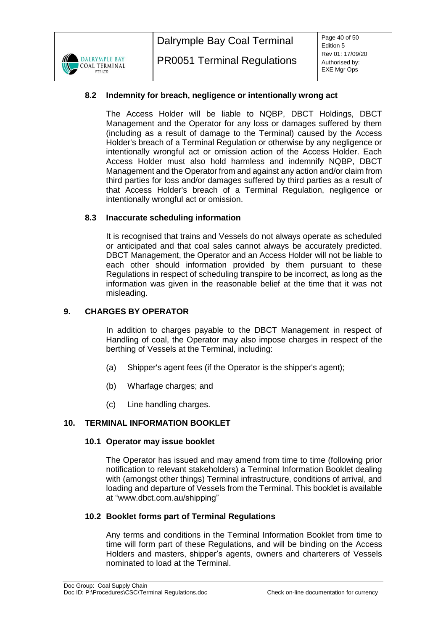

## <span id="page-39-0"></span>**8.2 Indemnity for breach, negligence or intentionally wrong act**

The Access Holder will be liable to NQBP, DBCT Holdings, DBCT Management and the Operator for any loss or damages suffered by them (including as a result of damage to the Terminal) caused by the Access Holder's breach of a Terminal Regulation or otherwise by any negligence or intentionally wrongful act or omission action of the Access Holder. Each Access Holder must also hold harmless and indemnify NQBP, DBCT Management and the Operator from and against any action and/or claim from third parties for loss and/or damages suffered by third parties as a result of that Access Holder's breach of a Terminal Regulation, negligence or intentionally wrongful act or omission.

## <span id="page-39-1"></span>**8.3 Inaccurate scheduling information**

It is recognised that trains and Vessels do not always operate as scheduled or anticipated and that coal sales cannot always be accurately predicted. DBCT Management, the Operator and an Access Holder will not be liable to each other should information provided by them pursuant to these Regulations in respect of scheduling transpire to be incorrect, as long as the information was given in the reasonable belief at the time that it was not misleading.

## <span id="page-39-2"></span>**9. CHARGES BY OPERATOR**

In addition to charges payable to the DBCT Management in respect of Handling of coal, the Operator may also impose charges in respect of the berthing of Vessels at the Terminal, including:

- (a) Shipper's agent fees (if the Operator is the shipper's agent);
- (b) Wharfage charges; and
- (c) Line handling charges.

## <span id="page-39-4"></span><span id="page-39-3"></span>**10. TERMINAL INFORMATION BOOKLET**

## **10.1 Operator may issue booklet**

The Operator has issued and may amend from time to time (following prior notification to relevant stakeholders) a Terminal Information Booklet dealing with (amongst other things) Terminal infrastructure, conditions of arrival, and loading and departure of Vessels from the Terminal. This booklet is available at "www.dbct.com.au/shipping"

## <span id="page-39-5"></span>**10.2 Booklet forms part of Terminal Regulations**

Any terms and conditions in the Terminal Information Booklet from time to time will form part of these Regulations, and will be binding on the Access Holders and masters, shipper's agents, owners and charterers of Vessels nominated to load at the Terminal.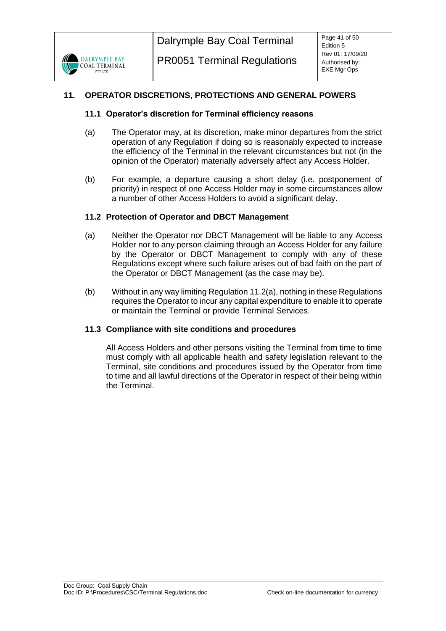# <span id="page-40-1"></span><span id="page-40-0"></span>**11. OPERATOR DISCRETIONS, PROTECTIONS AND GENERAL POWERS**

## **11.1 Operator's discretion for Terminal efficiency reasons**

- (a) The Operator may, at its discretion, make minor departures from the strict operation of any Regulation if doing so is reasonably expected to increase the efficiency of the Terminal in the relevant circumstances but not (in the opinion of the Operator) materially adversely affect any Access Holder.
- (b) For example, a departure causing a short delay (i.e. postponement of priority) in respect of one Access Holder may in some circumstances allow a number of other Access Holders to avoid a significant delay.

## <span id="page-40-2"></span>**11.2 Protection of Operator and DBCT Management**

- <span id="page-40-4"></span>(a) Neither the Operator nor DBCT Management will be liable to any Access Holder nor to any person claiming through an Access Holder for any failure by the Operator or DBCT Management to comply with any of these Regulations except where such failure arises out of bad faith on the part of the Operator or DBCT Management (as the case may be).
- (b) Without in any way limiting Regulation [11.2\(a\),](#page-40-4) nothing in these Regulations requires the Operator to incur any capital expenditure to enable it to operate or maintain the Terminal or provide Terminal Services.

## <span id="page-40-3"></span>**11.3 Compliance with site conditions and procedures**

All Access Holders and other persons visiting the Terminal from time to time must comply with all applicable health and safety legislation relevant to the Terminal, site conditions and procedures issued by the Operator from time to time and all lawful directions of the Operator in respect of their being within the Terminal.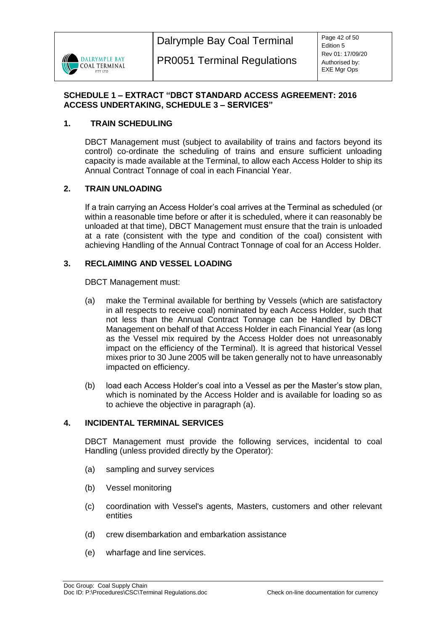

## <span id="page-41-0"></span>**SCHEDULE 1 – EXTRACT "DBCT STANDARD ACCESS AGREEMENT: 2016 ACCESS UNDERTAKING, SCHEDULE 3 – SERVICES"**

## **1. TRAIN SCHEDULING**

DBCT Management must (subject to availability of trains and factors beyond its control) co-ordinate the scheduling of trains and ensure sufficient unloading capacity is made available at the Terminal, to allow each Access Holder to ship its Annual Contract Tonnage of coal in each Financial Year.

## **2. TRAIN UNLOADING**

If a train carrying an Access Holder's coal arrives at the Terminal as scheduled (or within a reasonable time before or after it is scheduled, where it can reasonably be unloaded at that time), DBCT Management must ensure that the train is unloaded at a rate (consistent with the type and condition of the coal) consistent with achieving Handling of the Annual Contract Tonnage of coal for an Access Holder.

## **3. RECLAIMING AND VESSEL LOADING**

DBCT Management must:

- <span id="page-41-1"></span>(a) make the Terminal available for berthing by Vessels (which are satisfactory in all respects to receive coal) nominated by each Access Holder, such that not less than the Annual Contract Tonnage can be Handled by DBCT Management on behalf of that Access Holder in each Financial Year (as long as the Vessel mix required by the Access Holder does not unreasonably impact on the efficiency of the Terminal). It is agreed that historical Vessel mixes prior to 30 June 2005 will be taken generally not to have unreasonably impacted on efficiency.
- (b) load each Access Holder's coal into a Vessel as per the Master's stow plan, which is nominated by the Access Holder and is available for loading so as to achieve the objective in paragraph [\(a\).](#page-41-1)

## **4. INCIDENTAL TERMINAL SERVICES**

DBCT Management must provide the following services, incidental to coal Handling (unless provided directly by the Operator):

- (a) sampling and survey services
- (b) Vessel monitoring
- (c) coordination with Vessel's agents, Masters, customers and other relevant entities
- (d) crew disembarkation and embarkation assistance
- (e) wharfage and line services.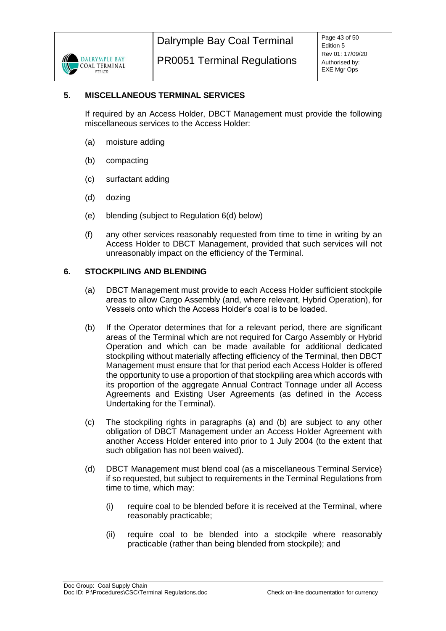

## **5. MISCELLANEOUS TERMINAL SERVICES**

If required by an Access Holder, DBCT Management must provide the following miscellaneous services to the Access Holder:

- (a) moisture adding
- (b) compacting
- (c) surfactant adding
- (d) dozing
- (e) blending (subject to Regulation 6(d) below)
- (f) any other services reasonably requested from time to time in writing by an Access Holder to DBCT Management, provided that such services will not unreasonably impact on the efficiency of the Terminal.

## <span id="page-42-0"></span>**6. STOCKPILING AND BLENDING**

- (a) DBCT Management must provide to each Access Holder sufficient stockpile areas to allow Cargo Assembly (and, where relevant, Hybrid Operation), for Vessels onto which the Access Holder's coal is to be loaded.
- (b) If the Operator determines that for a relevant period, there are significant areas of the Terminal which are not required for Cargo Assembly or Hybrid Operation and which can be made available for additional dedicated stockpiling without materially affecting efficiency of the Terminal, then DBCT Management must ensure that for that period each Access Holder is offered the opportunity to use a proportion of that stockpiling area which accords with its proportion of the aggregate Annual Contract Tonnage under all Access Agreements and Existing User Agreements (as defined in the Access Undertaking for the Terminal).
- (c) The stockpiling rights in paragraphs [\(a\)](#page-42-0) and (b) are subject to any other obligation of DBCT Management under an Access Holder Agreement with another Access Holder entered into prior to 1 July 2004 (to the extent that such obligation has not been waived).
- (d) DBCT Management must blend coal (as a miscellaneous Terminal Service) if so requested, but subject to requirements in the Terminal Regulations from time to time, which may:
	- (i) require coal to be blended before it is received at the Terminal, where reasonably practicable;
	- (ii) require coal to be blended into a stockpile where reasonably practicable (rather than being blended from stockpile); and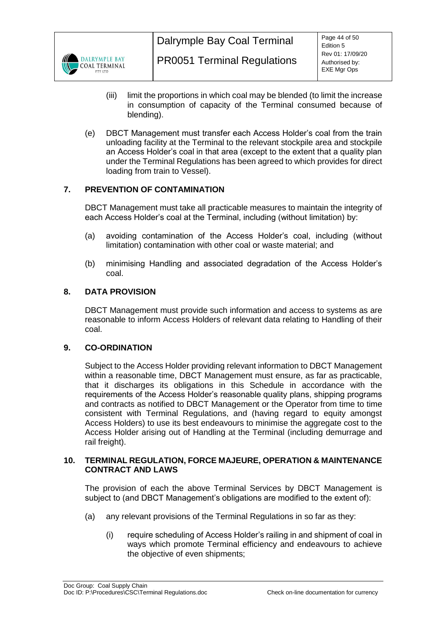

- (iii) limit the proportions in which coal may be blended (to limit the increase in consumption of capacity of the Terminal consumed because of blending).
- (e) DBCT Management must transfer each Access Holder's coal from the train unloading facility at the Terminal to the relevant stockpile area and stockpile an Access Holder's coal in that area (except to the extent that a quality plan under the Terminal Regulations has been agreed to which provides for direct loading from train to Vessel).

# **7. PREVENTION OF CONTAMINATION**

DBCT Management must take all practicable measures to maintain the integrity of each Access Holder's coal at the Terminal, including (without limitation) by:

- (a) avoiding contamination of the Access Holder's coal, including (without limitation) contamination with other coal or waste material; and
- (b) minimising Handling and associated degradation of the Access Holder's coal.

## **8. DATA PROVISION**

DBCT Management must provide such information and access to systems as are reasonable to inform Access Holders of relevant data relating to Handling of their coal.

## **9. CO-ORDINATION**

Subject to the Access Holder providing relevant information to DBCT Management within a reasonable time, DBCT Management must ensure, as far as practicable, that it discharges its obligations in this Schedule in accordance with the requirements of the Access Holder's reasonable quality plans, shipping programs and contracts as notified to DBCT Management or the Operator from time to time consistent with Terminal Regulations, and (having regard to equity amongst Access Holders) to use its best endeavours to minimise the aggregate cost to the Access Holder arising out of Handling at the Terminal (including demurrage and rail freight).

#### **10. TERMINAL REGULATION, FORCE MAJEURE, OPERATION & MAINTENANCE CONTRACT AND LAWS**

The provision of each the above Terminal Services by DBCT Management is subject to (and DBCT Management's obligations are modified to the extent of):

- (a) any relevant provisions of the Terminal Regulations in so far as they:
	- (i) require scheduling of Access Holder's railing in and shipment of coal in ways which promote Terminal efficiency and endeavours to achieve the objective of even shipments;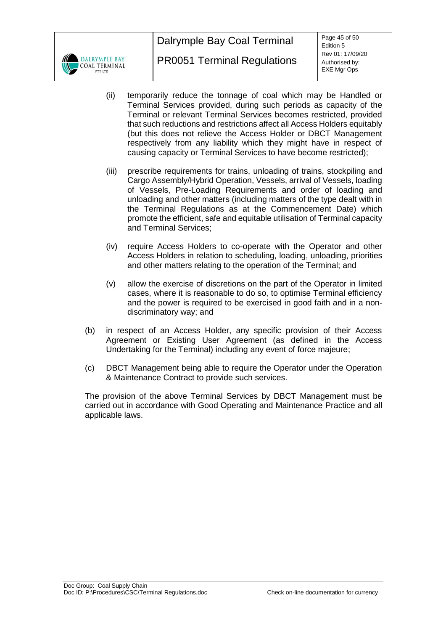

- (ii) temporarily reduce the tonnage of coal which may be Handled or Terminal Services provided, during such periods as capacity of the Terminal or relevant Terminal Services becomes restricted, provided that such reductions and restrictions affect all Access Holders equitably (but this does not relieve the Access Holder or DBCT Management respectively from any liability which they might have in respect of causing capacity or Terminal Services to have become restricted);
- (iii) prescribe requirements for trains, unloading of trains, stockpiling and Cargo Assembly/Hybrid Operation, Vessels, arrival of Vessels, loading of Vessels, Pre-Loading Requirements and order of loading and unloading and other matters (including matters of the type dealt with in the Terminal Regulations as at the Commencement Date) which promote the efficient, safe and equitable utilisation of Terminal capacity and Terminal Services;
- (iv) require Access Holders to co-operate with the Operator and other Access Holders in relation to scheduling, loading, unloading, priorities and other matters relating to the operation of the Terminal; and
- (v) allow the exercise of discretions on the part of the Operator in limited cases, where it is reasonable to do so, to optimise Terminal efficiency and the power is required to be exercised in good faith and in a nondiscriminatory way; and
- (b) in respect of an Access Holder, any specific provision of their Access Agreement or Existing User Agreement (as defined in the Access Undertaking for the Terminal) including any event of force majeure;
- (c) DBCT Management being able to require the Operator under the Operation & Maintenance Contract to provide such services.

The provision of the above Terminal Services by DBCT Management must be carried out in accordance with Good Operating and Maintenance Practice and all applicable laws.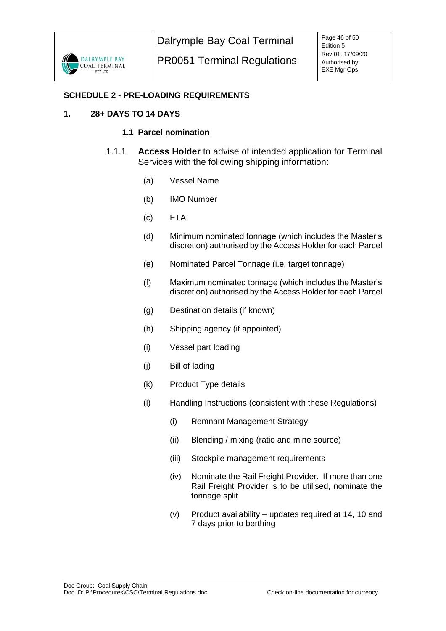

## <span id="page-45-0"></span>**SCHEDULE 2 - PRE-LOADING REQUIREMENTS**

## **1. 28+ DAYS TO 14 DAYS**

## **1.1 Parcel nomination**

- 1.1.1 **Access Holder** to advise of intended application for Terminal Services with the following shipping information:
	- (a) Vessel Name
	- (b) IMO Number
	- (c) ETA
	- (d) Minimum nominated tonnage (which includes the Master's discretion) authorised by the Access Holder for each Parcel
	- (e) Nominated Parcel Tonnage (i.e. target tonnage)
	- (f) Maximum nominated tonnage (which includes the Master's discretion) authorised by the Access Holder for each Parcel
	- (g) Destination details (if known)
	- (h) Shipping agency (if appointed)
	- (i) Vessel part loading
	- (j) Bill of lading
	- (k) Product Type details
	- (l) Handling Instructions (consistent with these Regulations)
		- (i) Remnant Management Strategy
		- (ii) Blending / mixing (ratio and mine source)
		- (iii) Stockpile management requirements
		- (iv) Nominate the Rail Freight Provider. If more than one Rail Freight Provider is to be utilised, nominate the tonnage split
		- (v) Product availability updates required at 14, 10 and 7 days prior to berthing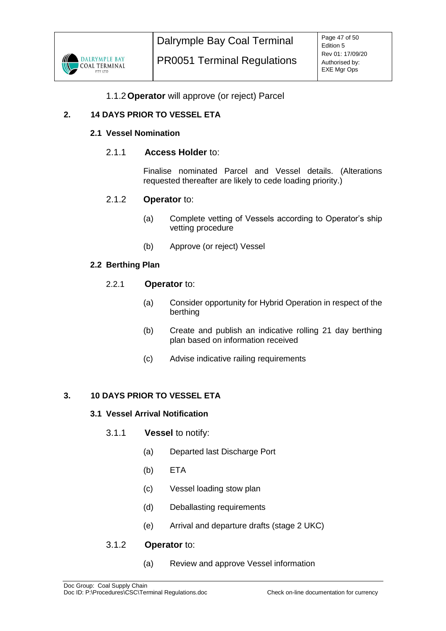

# 1.1.2**Operator** will approve (or reject) Parcel

# **2. 14 DAYS PRIOR TO VESSEL ETA**

## **2.1 Vessel Nomination**

## 2.1.1 **Access Holder** to:

Finalise nominated Parcel and Vessel details. (Alterations requested thereafter are likely to cede loading priority.)

## 2.1.2 **Operator** to:

- (a) Complete vetting of Vessels according to Operator's ship vetting procedure
- (b) Approve (or reject) Vessel

## **2.2 Berthing Plan**

## 2.2.1 **Operator** to:

- (a) Consider opportunity for Hybrid Operation in respect of the berthing
- (b) Create and publish an indicative rolling 21 day berthing plan based on information received
- (c) Advise indicative railing requirements

## **3. 10 DAYS PRIOR TO VESSEL ETA**

## **3.1 Vessel Arrival Notification**

- 3.1.1 **Vessel** to notify:
	- (a) Departed last Discharge Port
	- (b) ETA
	- (c) Vessel loading stow plan
	- (d) Deballasting requirements
	- (e) Arrival and departure drafts (stage 2 UKC)

## 3.1.2 **Operator** to:

(a) Review and approve Vessel information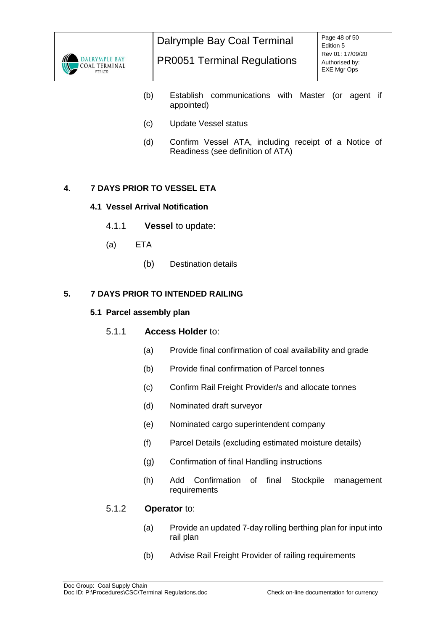

- (b) Establish communications with Master (or agent if appointed)
- (c) Update Vessel status
- (d) Confirm Vessel ATA, including receipt of a Notice of Readiness (see definition of ATA)

# **4. 7 DAYS PRIOR TO VESSEL ETA**

## **4.1 Vessel Arrival Notification**

- 4.1.1 **Vessel** to update:
- (a) ETA
	- (b) Destination details

## **5. 7 DAYS PRIOR TO INTENDED RAILING**

#### **5.1 Parcel assembly plan**

## 5.1.1 **Access Holder** to:

- (a) Provide final confirmation of coal availability and grade
- (b) Provide final confirmation of Parcel tonnes
- (c) Confirm Rail Freight Provider/s and allocate tonnes
- (d) Nominated draft surveyor
- (e) Nominated cargo superintendent company
- (f) Parcel Details (excluding estimated moisture details)
- (g) Confirmation of final Handling instructions
- (h) Add Confirmation of final Stockpile management requirements

# 5.1.2 **Operator** to:

- (a) Provide an updated 7-day rolling berthing plan for input into rail plan
- (b) Advise Rail Freight Provider of railing requirements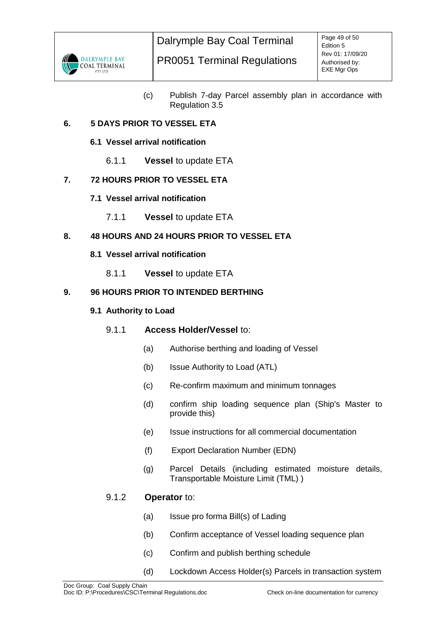

(c) Publish 7-day Parcel assembly plan in accordance with Regulation 3.5

# **6. 5 DAYS PRIOR TO VESSEL ETA**

## **6.1 Vessel arrival notification**

6.1.1 **Vessel** to update ETA

# **7. 72 HOURS PRIOR TO VESSEL ETA**

- **7.1 Vessel arrival notification**
	- 7.1.1 **Vessel** to update ETA

# **8. 48 HOURS AND 24 HOURS PRIOR TO VESSEL ETA**

- **8.1 Vessel arrival notification**
	- 8.1.1 **Vessel** to update ETA

## **9. 96 HOURS PRIOR TO INTENDED BERTHING**

## **9.1 Authority to Load**

# 9.1.1 **Access Holder/Vessel** to:

- (a) Authorise berthing and loading of Vessel
- (b) Issue Authority to Load (ATL)
- (c) Re-confirm maximum and minimum tonnages
- (d) confirm ship loading sequence plan (Ship's Master to provide this)
- (e) Issue instructions for all commercial documentation
- (f) Export Declaration Number (EDN)
- (g) Parcel Details (including estimated moisture details, Transportable Moisture Limit (TML) )

# 9.1.2 **Operator** to:

- (a) Issue pro forma Bill(s) of Lading
- (b) Confirm acceptance of Vessel loading sequence plan
- (c) Confirm and publish berthing schedule
- (d) Lockdown Access Holder(s) Parcels in transaction system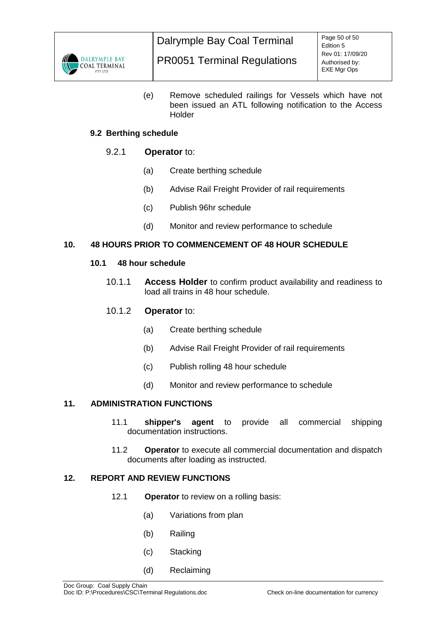

(e) Remove scheduled railings for Vessels which have not been issued an ATL following notification to the Access Holder

# **9.2 Berthing schedule**

## 9.2.1 **Operator** to:

- (a) Create berthing schedule
- (b) Advise Rail Freight Provider of rail requirements
- (c) Publish 96hr schedule
- (d) Monitor and review performance to schedule

## **10. 48 HOURS PRIOR TO COMMENCEMENT OF 48 HOUR SCHEDULE**

## **10.1 48 hour schedule**

10.1.1 **Access Holder** to confirm product availability and readiness to load all trains in 48 hour schedule.

## 10.1.2 **Operator** to:

- (a) Create berthing schedule
- (b) Advise Rail Freight Provider of rail requirements
- (c) Publish rolling 48 hour schedule
- (d) Monitor and review performance to schedule

# **11. ADMINISTRATION FUNCTIONS**

- 11.1 **shipper's agent** to provide all commercial shipping documentation instructions.
- 11.2 **Operator** to execute all commercial documentation and dispatch documents after loading as instructed.

## **12. REPORT AND REVIEW FUNCTIONS**

- 12.1 **Operator** to review on a rolling basis:
	- (a) Variations from plan
	- (b) Railing
	- (c) Stacking
	- (d) Reclaiming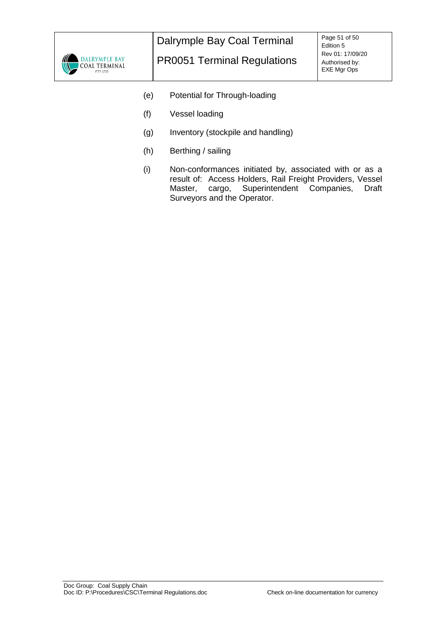

- (e) Potential for Through-loading
- (f) Vessel loading
- (g) Inventory (stockpile and handling)
- (h) Berthing / sailing
- (i) Non-conformances initiated by, associated with or as a result of: Access Holders, Rail Freight Providers, Vessel Master, cargo, Superintendent Companies, Surveyors and the Operator.